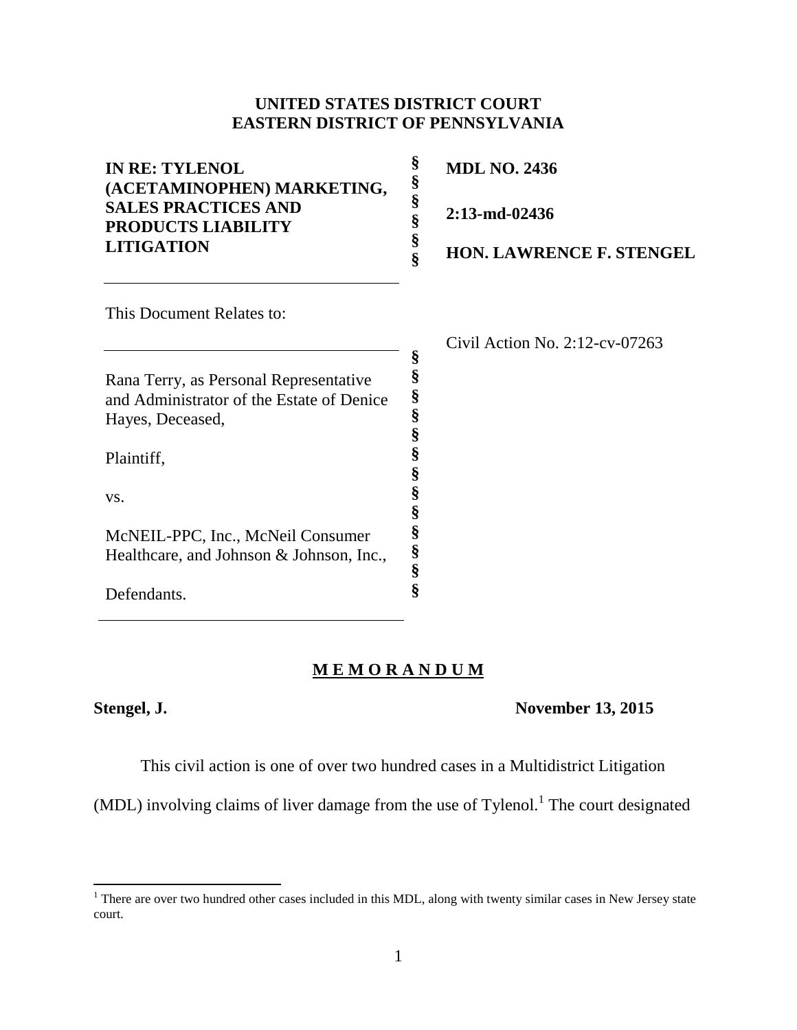# **UNITED STATES DISTRICT COURT EASTERN DISTRICT OF PENNSYLVANIA**

| <b>IN RE: TYLENOL</b><br>(ACETAMINOPHEN) MARKETING,     | §<br><b>MDL NO. 2436</b><br>§             |
|---------------------------------------------------------|-------------------------------------------|
| <b>SALES PRACTICES AND</b><br><b>PRODUCTS LIABILITY</b> | §<br>2:13-md-02436<br>§                   |
| <b>LITIGATION</b>                                       | §<br><b>HON. LAWRENCE F. STENGEL</b><br>Ş |
| This Document Relates to:                               |                                           |
|                                                         | Civil Action No. $2:12$ -cv-07263         |
|                                                         | §                                         |
| Rana Terry, as Personal Representative                  | §                                         |
| and Administrator of the Estate of Denice               | §<br>§                                    |
| Hayes, Deceased,                                        | §                                         |
| Plaintiff,                                              | §<br>§                                    |
| VS.                                                     | §                                         |
|                                                         | §                                         |
| McNEIL-PPC, Inc., McNeil Consumer                       | §                                         |
| Healthcare, and Johnson & Johnson, Inc.,                | §                                         |
|                                                         | §                                         |
| Defendants                                              |                                           |

# **M E M O R A N D U M**

 $\overline{\phantom{a}}$ 

Defendants.

## **Stengel, J. November 13, 2015**

This civil action is one of over two hundred cases in a Multidistrict Litigation

 $(MDL)$  involving claims of liver damage from the use of Tylenol.<sup>1</sup> The court designated

 $1$  There are over two hundred other cases included in this MDL, along with twenty similar cases in New Jersey state court.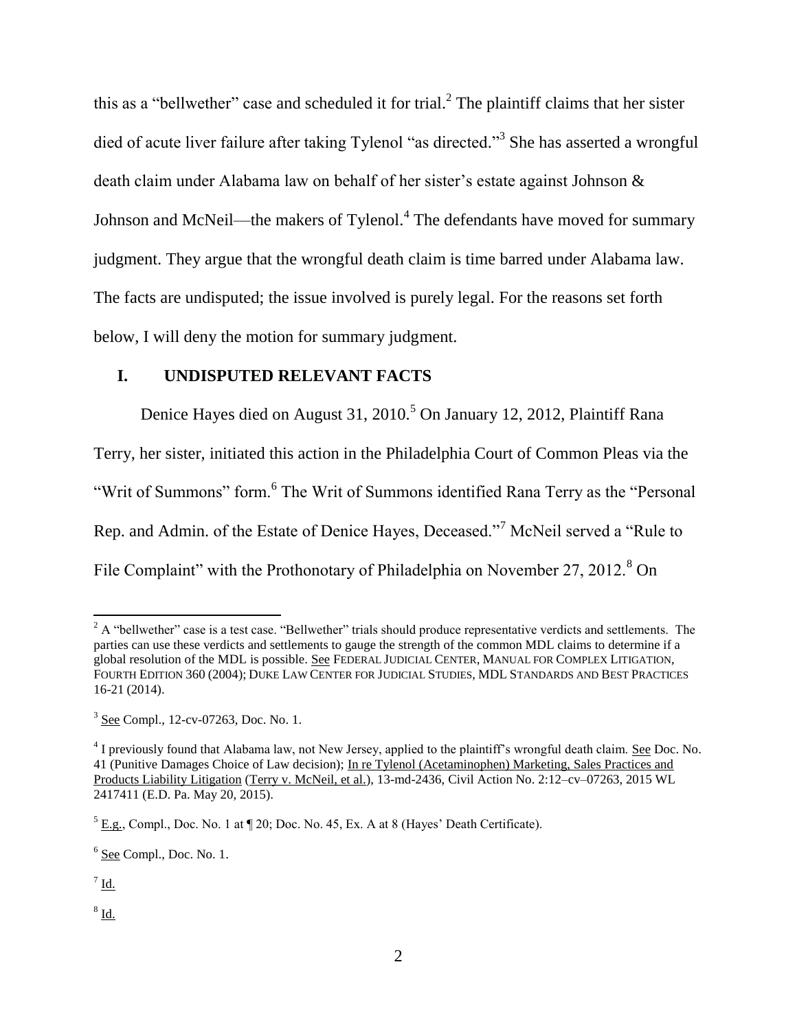this as a "bellwether" case and scheduled it for trial.<sup>2</sup> The plaintiff claims that her sister died of acute liver failure after taking Tylenol "as directed."<sup>3</sup> She has asserted a wrongful death claim under Alabama law on behalf of her sister's estate against Johnson & Johnson and McNeil—the makers of Tylenol.<sup>4</sup> The defendants have moved for summary judgment. They argue that the wrongful death claim is time barred under Alabama law. The facts are undisputed; the issue involved is purely legal. For the reasons set forth below, I will deny the motion for summary judgment.

### **I. UNDISPUTED RELEVANT FACTS**

Denice Hayes died on August 31, 2010.<sup>5</sup> On January 12, 2012, Plaintiff Rana Terry, her sister, initiated this action in the Philadelphia Court of Common Pleas via the "Writ of Summons" form.<sup>6</sup> The Writ of Summons identified Rana Terry as the "Personal Rep. and Admin. of the Estate of Denice Hayes, Deceased."<sup>7</sup> McNeil served a "Rule to

File Complaint" with the Prothonotary of Philadelphia on November 27, 2012.<sup>8</sup> On

l

 $^8$  Id.

 $2$  A "bellwether" case is a test case. "Bellwether" trials should produce representative verdicts and settlements. The parties can use these verdicts and settlements to gauge the strength of the common MDL claims to determine if a global resolution of the MDL is possible. See FEDERAL JUDICIAL CENTER, MANUAL FOR COMPLEX LITIGATION, FOURTH EDITION 360 (2004); DUKE LAW CENTER FOR JUDICIAL STUDIES, MDL STANDARDS AND BEST PRACTICES 16-21 (2014).

<sup>&</sup>lt;sup>3</sup> See Compl., 12-cv-07263, Doc. No. 1.

<sup>&</sup>lt;sup>4</sup> I previously found that Alabama law, not New Jersey, applied to the plaintiff's wrongful death claim. See Doc. No. 41 (Punitive Damages Choice of Law decision); In re Tylenol (Acetaminophen) Marketing, Sales Practices and Products Liability Litigation (Terry v. McNeil, et al.), 13-md-2436, Civil Action No. 2:12–cv–07263, 2015 WL 2417411 (E.D. Pa. May 20, 2015).

 $<sup>5</sup>$  E.g., Compl., Doc. No. 1 at  $\sqrt{ }$  20; Doc. No. 45, Ex. A at 8 (Hayes' Death Certificate).</sup>

 $6$  See Compl., Doc. No. 1.

 $^7$  Id.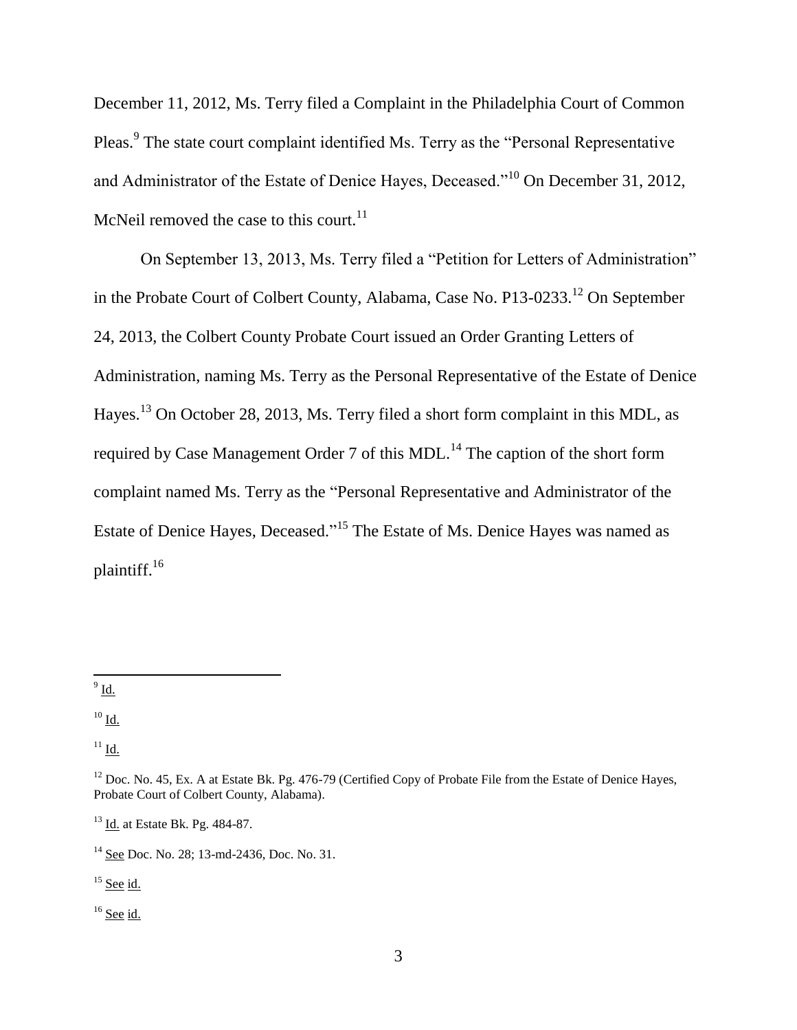December 11, 2012, Ms. Terry filed a Complaint in the Philadelphia Court of Common Pleas.<sup>9</sup> The state court complaint identified Ms. Terry as the "Personal Representative and Administrator of the Estate of Denice Hayes, Deceased."<sup>10</sup> On December 31, 2012, McNeil removed the case to this court. $^{11}$ 

On September 13, 2013, Ms. Terry filed a "Petition for Letters of Administration" in the Probate Court of Colbert County, Alabama, Case No. P13-0233.<sup>12</sup> On September 24, 2013, the Colbert County Probate Court issued an Order Granting Letters of Administration, naming Ms. Terry as the Personal Representative of the Estate of Denice Hayes.<sup>13</sup> On October 28, 2013, Ms. Terry filed a short form complaint in this MDL, as required by Case Management Order 7 of this MDL.<sup>14</sup> The caption of the short form complaint named Ms. Terry as the "Personal Representative and Administrator of the Estate of Denice Hayes, Deceased."<sup>15</sup> The Estate of Ms. Denice Hayes was named as plaintiff.<sup>16</sup>

 $\frac{9}{9}$  Id.

 $10 \underline{\mathsf{Id}}$ .

 $11$  Id.

 $15$  See id.

 $16$  See id.

 $12$  Doc. No. 45, Ex. A at Estate Bk. Pg. 476-79 (Certified Copy of Probate File from the Estate of Denice Hayes, Probate Court of Colbert County, Alabama).

<sup>13</sup> Id. at Estate Bk. Pg. 484-87.

<sup>&</sup>lt;sup>14</sup> See Doc. No. 28; 13-md-2436, Doc. No. 31.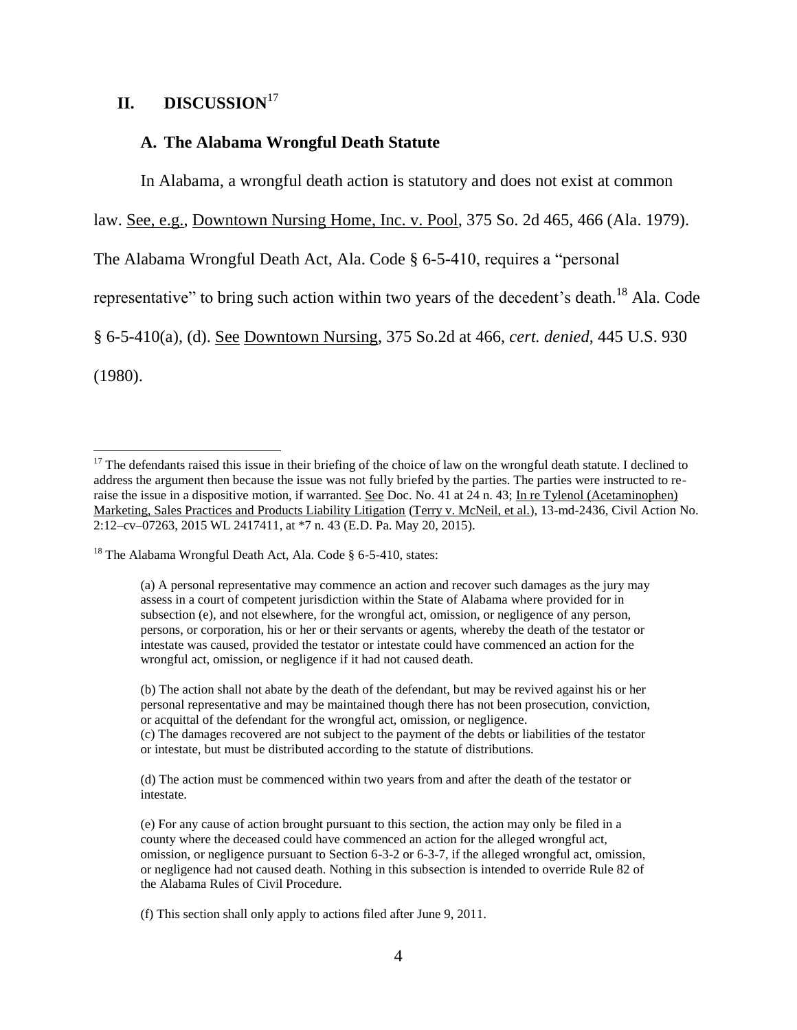# **II. DISCUSSION**<sup>17</sup>

#### **A. The Alabama Wrongful Death Statute**

In Alabama, a wrongful death action is statutory and does not exist at common

law. See, e.g., Downtown Nursing Home, Inc. v. Pool, 375 So. 2d 465, 466 (Ala. 1979).

The Alabama Wrongful Death Act, Ala. Code § 6-5-410, requires a "personal

representative" to bring such action within two years of the decedent's death.<sup>18</sup> Ala. Code

§ 6-5-410(a), (d). See Downtown Nursing, 375 So.2d at 466, *cert. denied*, 445 U.S. 930

(1980).

 $\overline{a}$ 

(b) The action shall not abate by the death of the defendant, but may be revived against his or her personal representative and may be maintained though there has not been prosecution, conviction, or acquittal of the defendant for the wrongful act, omission, or negligence.

(c) The damages recovered are not subject to the payment of the debts or liabilities of the testator or intestate, but must be distributed according to the statute of distributions.

(d) The action must be commenced within two years from and after the death of the testator or intestate.

(e) For any cause of action brought pursuant to this section, the action may only be filed in a county where the deceased could have commenced an action for the alleged wrongful act, omission, or negligence pursuant to Section 6-3-2 or 6-3-7, if the alleged wrongful act, omission, or negligence had not caused death. Nothing in this subsection is intended to override Rule 82 of the Alabama Rules of Civil Procedure.

(f) This section shall only apply to actions filed after June 9, 2011.

 $17$  The defendants raised this issue in their briefing of the choice of law on the wrongful death statute. I declined to address the argument then because the issue was not fully briefed by the parties. The parties were instructed to reraise the issue in a dispositive motion, if warranted. See Doc. No. 41 at 24 n. 43; In re Tylenol (Acetaminophen) Marketing, Sales Practices and Products Liability Litigation (Terry v. McNeil, et al.), 13-md-2436, Civil Action No. 2:12–cv–07263, 2015 WL 2417411, at \*7 n. 43 (E.D. Pa. May 20, 2015).

<sup>&</sup>lt;sup>18</sup> The Alabama Wrongful Death Act, Ala. Code § 6-5-410, states:

<sup>(</sup>a) A personal representative may commence an action and recover such damages as the jury may assess in a court of competent jurisdiction within the State of Alabama where provided for in subsection (e), and not elsewhere, for the wrongful act, omission, or negligence of any person, persons, or corporation, his or her or their servants or agents, whereby the death of the testator or intestate was caused, provided the testator or intestate could have commenced an action for the wrongful act, omission, or negligence if it had not caused death.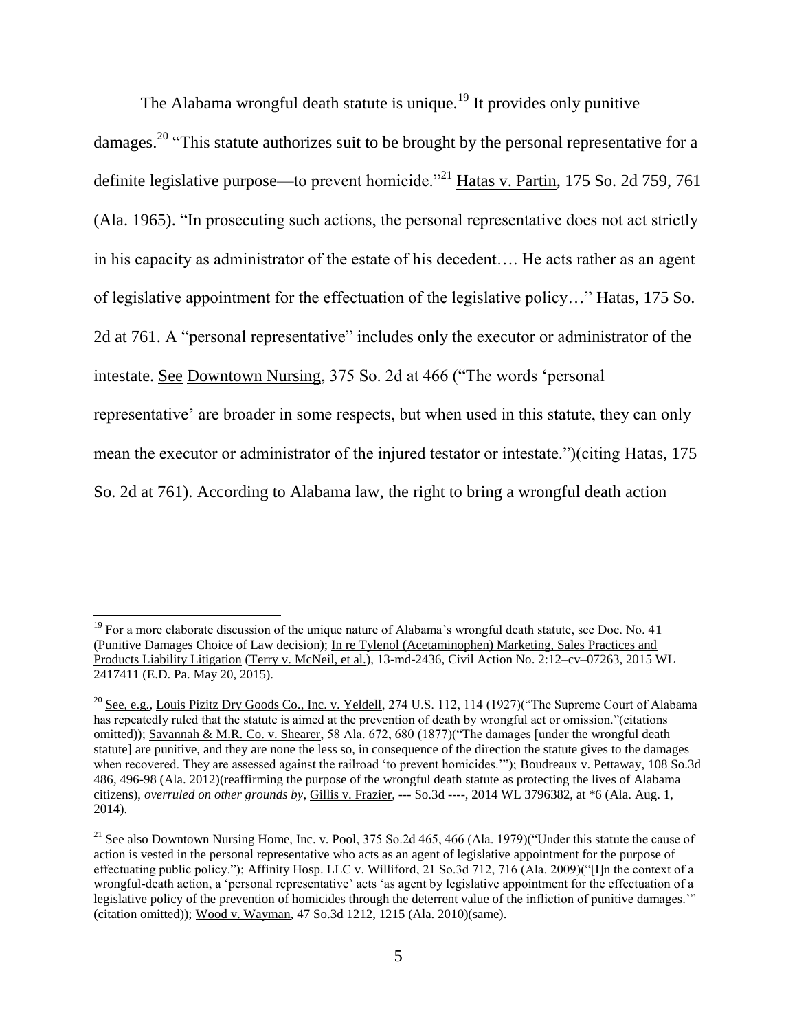The Alabama wrongful death statute is unique.<sup>19</sup> It provides only punitive

damages.<sup>20</sup> "This statute authorizes suit to be brought by the personal representative for a definite legislative purpose—to prevent homicide.<sup>"21</sup> Hatas v. Partin, 175 So. 2d 759, 761 (Ala. 1965). "In prosecuting such actions, the personal representative does not act strictly in his capacity as administrator of the estate of his decedent…. He acts rather as an agent of legislative appointment for the effectuation of the legislative policy…" Hatas, 175 So. 2d at 761. A "personal representative" includes only the executor or administrator of the intestate. See Downtown Nursing, 375 So. 2d at 466 ("The words 'personal representative' are broader in some respects, but when used in this statute, they can only mean the executor or administrator of the injured testator or intestate.")(citing Hatas, 175 So. 2d at 761). According to Alabama law, the right to bring a wrongful death action

l

<sup>&</sup>lt;sup>19</sup> For a more elaborate discussion of the unique nature of Alabama's wrongful death statute, see Doc. No. 41 (Punitive Damages Choice of Law decision); In re Tylenol (Acetaminophen) Marketing, Sales Practices and Products Liability Litigation (Terry v. McNeil, et al.), 13-md-2436, Civil Action No. 2:12–cv–07263, 2015 WL 2417411 (E.D. Pa. May 20, 2015).

<sup>&</sup>lt;sup>20</sup> See, e.g., Louis Pizitz Dry Goods Co., Inc. v. Yeldell, 274 U.S. 112, 114 (1927)("The Supreme Court of Alabama has repeatedly ruled that the statute is aimed at the prevention of death by wrongful act or omission."(citations omitted)); Savannah & M.R. Co. v. Shearer, 58 Ala. 672, 680 (1877)("The damages [under the wrongful death statute] are punitive, and they are none the less so, in consequence of the direction the statute gives to the damages when recovered. They are assessed against the railroad 'to prevent homicides.'"); Boudreaux v. Pettaway, 108 So.3d 486, 496-98 (Ala. 2012)(reaffirming the purpose of the wrongful death statute as protecting the lives of Alabama citizens), *overruled on other grounds by*, Gillis v. Frazier, --- So.3d ----, 2014 WL 3796382, at \*6 (Ala. Aug. 1, 2014).

<sup>&</sup>lt;sup>21</sup> See also Downtown Nursing Home, Inc. v. Pool, 375 So.2d 465, 466 (Ala. 1979)("Under this statute the cause of action is vested in the personal representative who acts as an agent of legislative appointment for the purpose of effectuating public policy."); Affinity Hosp. LLC v. Williford, 21 So.3d 712, 716 (Ala. 2009)("[I]n the context of a wrongful-death action, a 'personal representative' acts 'as agent by legislative appointment for the effectuation of a legislative policy of the prevention of homicides through the deterrent value of the infliction of punitive damages.'" (citation omitted)); Wood v. Wayman, 47 So.3d 1212, 1215 (Ala. 2010)(same).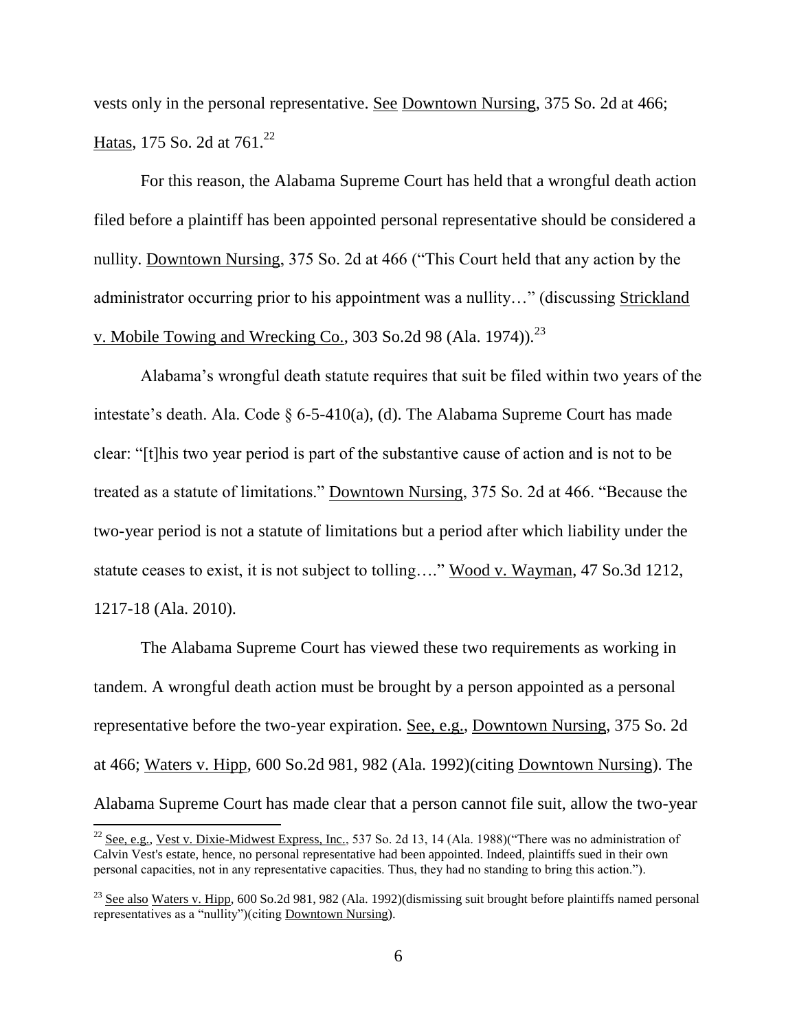vests only in the personal representative. See Downtown Nursing, 375 So. 2d at 466; Hatas, 175 So. 2d at 761.<sup>22</sup>

For this reason, the Alabama Supreme Court has held that a wrongful death action filed before a plaintiff has been appointed personal representative should be considered a nullity. Downtown Nursing, 375 So. 2d at 466 ("This Court held that any action by the administrator occurring prior to his appointment was a nullity…" (discussing Strickland v. Mobile Towing and Wrecking Co., 303 So.2d 98 (Ala. 1974)).<sup>23</sup>

Alabama's wrongful death statute requires that suit be filed within two years of the intestate's death. Ala. Code § 6-5-410(a), (d). The Alabama Supreme Court has made clear: "[t]his two year period is part of the substantive cause of action and is not to be treated as a statute of limitations." Downtown Nursing, 375 So. 2d at 466. "Because the two-year period is not a statute of limitations but a period after which liability under the statute ceases to exist, it is not subject to tolling…." Wood v. Wayman, 47 So.3d 1212, 1217-18 (Ala. 2010).

The Alabama Supreme Court has viewed these two requirements as working in tandem. A wrongful death action must be brought by a person appointed as a personal representative before the two-year expiration. See, e.g., Downtown Nursing, 375 So. 2d at 466; Waters v. Hipp, 600 So.2d 981, 982 (Ala. 1992)(citing Downtown Nursing). The Alabama Supreme Court has made clear that a person cannot file suit, allow the two-year

 $^{22}$  See, e.g., Vest v. Dixie-Midwest Express, Inc., 537 So. 2d 13, 14 (Ala. 1988)("There was no administration of Calvin Vest's estate, hence, no personal representative had been appointed. Indeed, plaintiffs sued in their own personal capacities, not in any representative capacities. Thus, they had no standing to bring this action.").

<sup>&</sup>lt;sup>23</sup> See also Waters v. Hipp, 600 So.2d 981, 982 (Ala. 1992)(dismissing suit brought before plaintiffs named personal representatives as a "nullity")(citing Downtown Nursing).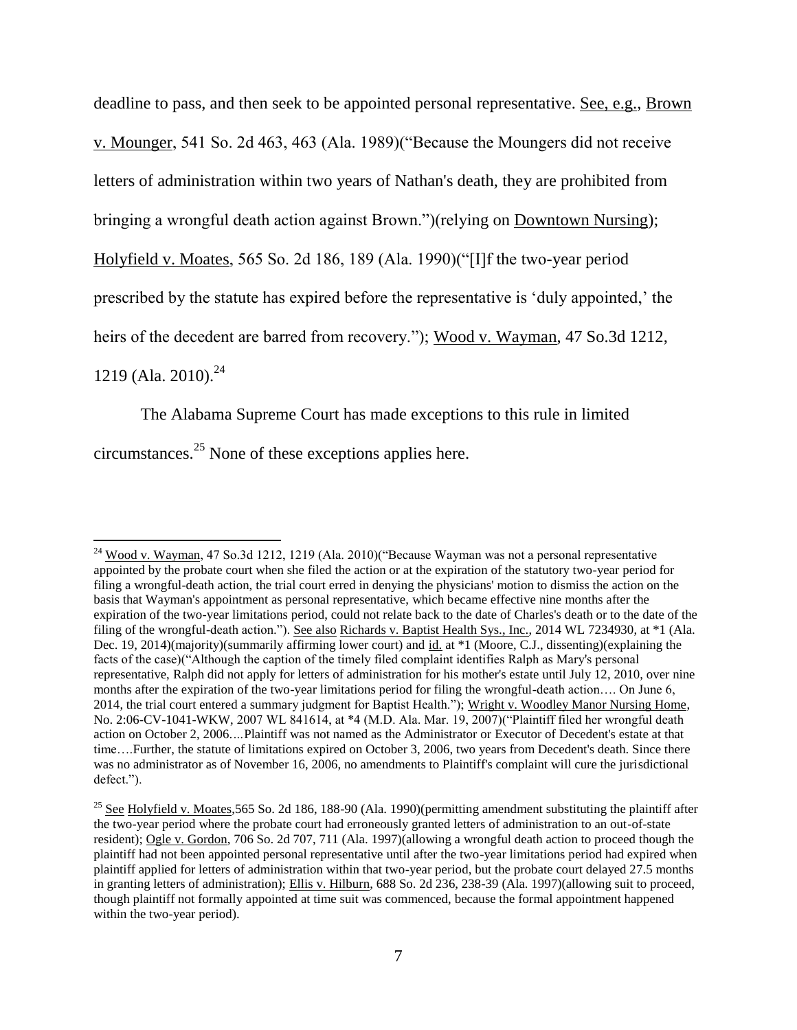deadline to pass, and then seek to be appointed personal representative. See, e.g., Brown v. Mounger, 541 So. 2d 463, 463 (Ala. 1989)("Because the Moungers did not receive letters of administration within two years of Nathan's death, they are prohibited from bringing a wrongful death action against Brown.")(relying on Downtown Nursing); Holyfield v. Moates, 565 So. 2d 186, 189 (Ala. 1990)("[I]f the two-year period prescribed by the statute has expired before the representative is 'duly appointed,' the heirs of the decedent are barred from recovery."); Wood v. Wayman, 47 So.3d 1212, 1219 (Ala. 2010).<sup>24</sup>

The Alabama Supreme Court has made exceptions to this rule in limited circumstances.<sup>25</sup> None of these exceptions applies here.

 $24 \text{ Wood v. Wayman, } 47 \text{ So.}3d 1212, 1219 (Ala. 2010)(\text{"Because Wayman was not a personal representative of the system.}$ appointed by the probate court when she filed the action or at the expiration of the statutory two-year period for filing a wrongful-death action, the trial court erred in denying the physicians' motion to dismiss the action on the basis that Wayman's appointment as personal representative, which became effective nine months after the expiration of the two-year limitations period, could not relate back to the date of Charles's death or to the date of the filing of the wrongful-death action."). See also Richards v. Baptist Health Sys., Inc., 2014 WL 7234930, at \*1 (Ala. Dec. 19, 2014)(majority)(summarily affirming lower court) and id. at \*1 (Moore, C.J., dissenting)(explaining the facts of the case)("Although the caption of the timely filed complaint identifies Ralph as Mary's personal representative, Ralph did not apply for letters of administration for his mother's estate until July 12, 2010, over nine months after the expiration of the two-year limitations period for filing the wrongful-death action…. On June 6, 2014, the trial court entered a summary judgment for Baptist Health."); Wright v. Woodley Manor Nursing Home, No. 2:06-CV-1041-WKW, 2007 WL 841614, at \*4 (M.D. Ala. Mar. 19, 2007)("Plaintiff filed her wrongful death action on October 2, 2006.*…*Plaintiff was not named as the Administrator or Executor of Decedent's estate at that time....Further, the statute of limitations expired on October 3, 2006, two years from Decedent's death. Since there was no administrator as of November 16, 2006, no amendments to Plaintiff's complaint will cure the jurisdictional defect.").

 $^{25}$  See Holyfield v. Moates, 565 So. 2d 186, 188-90 (Ala. 1990)(permitting amendment substituting the plaintiff after the two-year period where the probate court had erroneously granted letters of administration to an out-of-state resident); Ogle v. Gordon, 706 So. 2d 707, 711 (Ala. 1997)(allowing a wrongful death action to proceed though the plaintiff had not been appointed personal representative until after the two-year limitations period had expired when plaintiff applied for letters of administration within that two-year period, but the probate court delayed 27.5 months in granting letters of administration); Ellis v. Hilburn, 688 So. 2d 236, 238-39 (Ala. 1997)(allowing suit to proceed, though plaintiff not formally appointed at time suit was commenced, because the formal appointment happened within the two-year period).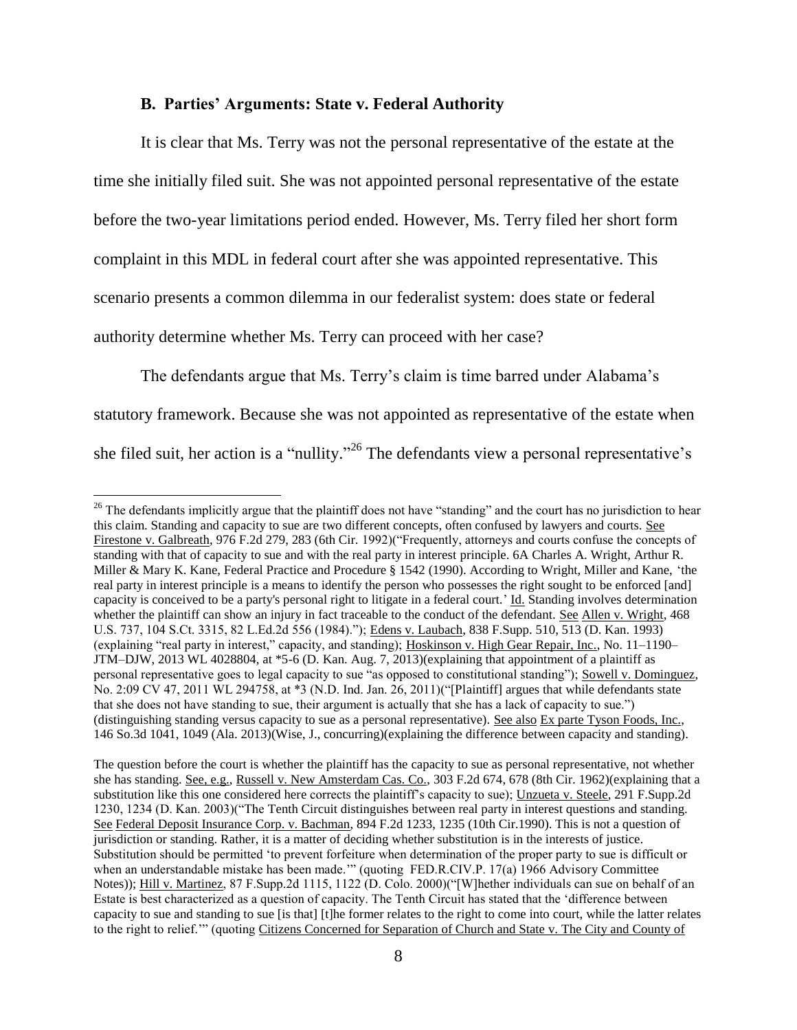#### **B. Parties' Arguments: State v. Federal Authority**

 $\overline{\phantom{a}}$ 

It is clear that Ms. Terry was not the personal representative of the estate at the time she initially filed suit. She was not appointed personal representative of the estate before the two-year limitations period ended. However, Ms. Terry filed her short form complaint in this MDL in federal court after she was appointed representative. This scenario presents a common dilemma in our federalist system: does state or federal authority determine whether Ms. Terry can proceed with her case?

The defendants argue that Ms. Terry's claim is time barred under Alabama's statutory framework. Because she was not appointed as representative of the estate when she filed suit, her action is a "nullity."<sup>26</sup> The defendants view a personal representative's

 $26$  The defendants implicitly argue that the plaintiff does not have "standing" and the court has no jurisdiction to hear this claim. Standing and capacity to sue are two different concepts, often confused by lawyers and courts. See Firestone v. Galbreath, 976 F.2d 279, 283 (6th Cir. 1992)("Frequently, attorneys and courts confuse the concepts of standing with that of capacity to sue and with the real party in interest principle. 6A Charles A. Wright, Arthur R. Miller & Mary K. Kane, Federal Practice and Procedure § 1542 (1990). According to Wright, Miller and Kane, 'the real party in interest principle is a means to identify the person who possesses the right sought to be enforced [and] capacity is conceived to be a party's personal right to litigate in a federal court.' Id. Standing involves determination whether the plaintiff can show an injury in fact traceable to the conduct of the defendant. See Allen v. Wright, 468 U.S. 737, 104 S.Ct. 3315, 82 L.Ed.2d 556 (1984)."); Edens v. Laubach, 838 F.Supp. 510, 513 (D. Kan. 1993) (explaining "real party in interest," capacity, and standing); Hoskinson v. High Gear Repair, Inc., No. 11–1190– JTM–DJW, 2013 WL 4028804, at \*5-6 (D. Kan. Aug. 7, 2013)(explaining that appointment of a plaintiff as personal representative goes to legal capacity to sue "as opposed to constitutional standing"); Sowell v. Dominguez, No. 2:09 CV 47, 2011 WL 294758, at \*3 (N.D. Ind. Jan. 26, 2011)("[Plaintiff] argues that while defendants state that she does not have standing to sue, their argument is actually that she has a lack of capacity to sue.") (distinguishing standing versus capacity to sue as a personal representative). See also Ex parte Tyson Foods, Inc., 146 So.3d 1041, 1049 (Ala. 2013)(Wise, J., concurring)(explaining the difference between capacity and standing).

The question before the court is whether the plaintiff has the capacity to sue as personal representative, not whether she has standing. See, e.g., Russell v. New Amsterdam Cas. Co., 303 F.2d 674, 678 (8th Cir. 1962)(explaining that a substitution like this one considered here corrects the plaintiff's capacity to sue); Unzueta v. Steele, 291 F.Supp.2d 1230, 1234 (D. Kan. 2003)("The Tenth Circuit distinguishes between real party in interest questions and standing. See Federal Deposit Insurance Corp. v. Bachman, 894 F.2d 1233, 1235 (10th Cir.1990). This is not a question of jurisdiction or standing. Rather, it is a matter of deciding whether substitution is in the interests of justice. Substitution should be permitted 'to prevent forfeiture when determination of the proper party to sue is difficult or when an understandable mistake has been made."" (quoting FED.R.CIV.P. 17(a) 1966 Advisory Committee Notes)); Hill v. Martinez, 87 F.Supp.2d 1115, 1122 (D. Colo. 2000)("[W]hether individuals can sue on behalf of an Estate is best characterized as a question of capacity. The Tenth Circuit has stated that the 'difference between capacity to sue and standing to sue [is that] [t]he former relates to the right to come into court, while the latter relates to the right to relief.'" (quoting Citizens Concerned for Separation of Church and State v. The City and County of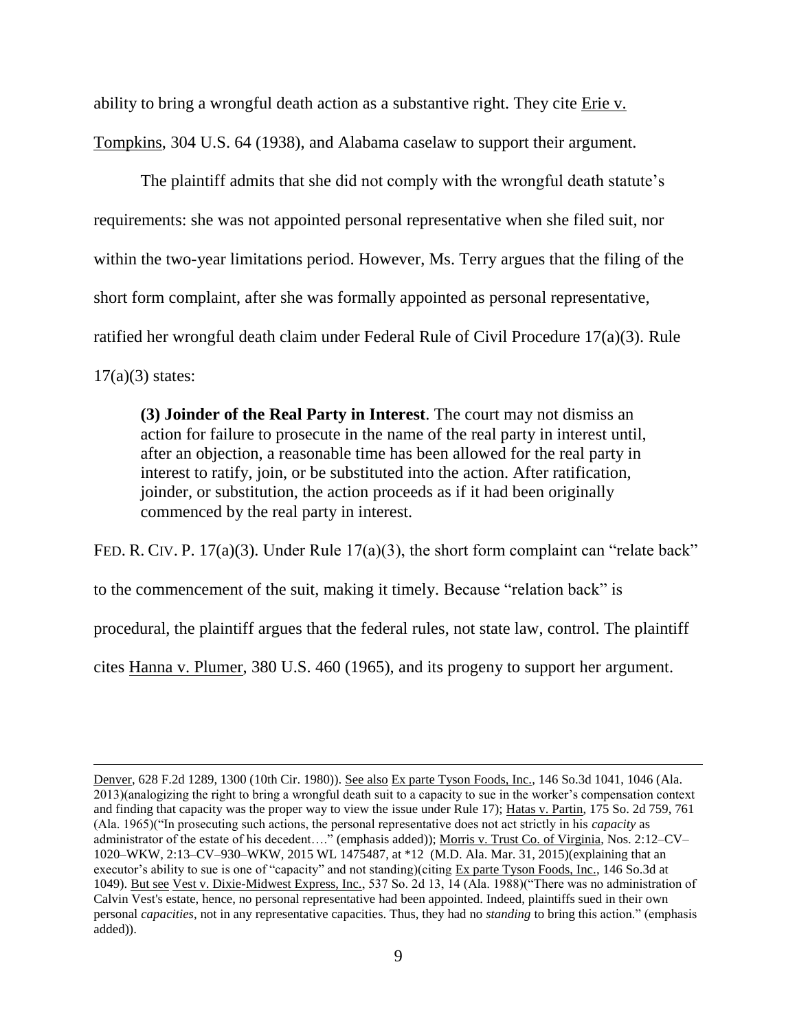ability to bring a wrongful death action as a substantive right. They cite Erie v. Tompkins, 304 U.S. 64 (1938), and Alabama caselaw to support their argument.

The plaintiff admits that she did not comply with the wrongful death statute's requirements: she was not appointed personal representative when she filed suit, nor within the two-year limitations period. However, Ms. Terry argues that the filing of the short form complaint, after she was formally appointed as personal representative, ratified her wrongful death claim under Federal Rule of Civil Procedure 17(a)(3). Rule  $17(a)(3)$  states:

**(3) Joinder of the Real Party in Interest**. The court may not dismiss an action for failure to prosecute in the name of the real party in interest until, after an objection, a reasonable time has been allowed for the real party in interest to ratify, join, or be substituted into the action. After ratification, joinder, or substitution, the action proceeds as if it had been originally commenced by the real party in interest.

FED. R. CIV. P. 17(a)(3). Under Rule 17(a)(3), the short form complaint can "relate back"

to the commencement of the suit, making it timely. Because "relation back" is

 $\overline{\phantom{a}}$ 

procedural, the plaintiff argues that the federal rules, not state law, control. The plaintiff

cites Hanna v. Plumer, 380 U.S. 460 (1965), and its progeny to support her argument.

Denver, 628 F.2d 1289, 1300 (10th Cir. 1980)). See also Ex parte Tyson Foods, Inc., 146 So.3d 1041, 1046 (Ala. 2013)(analogizing the right to bring a wrongful death suit to a capacity to sue in the worker's compensation context and finding that capacity was the proper way to view the issue under Rule 17); Hatas v. Partin, 175 So. 2d 759, 761 (Ala. 1965)("In prosecuting such actions, the personal representative does not act strictly in his *capacity* as administrator of the estate of his decedent...." (emphasis added)); Morris v. Trust Co. of Virginia, Nos. 2:12-CV-1020–WKW, 2:13–CV–930–WKW, 2015 WL 1475487, at \*12 (M.D. Ala. Mar. 31, 2015)(explaining that an executor's ability to sue is one of "capacity" and not standing)(citing Ex parte Tyson Foods, Inc., 146 So.3d at 1049). But see Vest v. Dixie-Midwest Express, Inc., 537 So. 2d 13, 14 (Ala. 1988)("There was no administration of Calvin Vest's estate, hence, no personal representative had been appointed. Indeed, plaintiffs sued in their own personal *capacities*, not in any representative capacities. Thus, they had no *standing* to bring this action." (emphasis added)).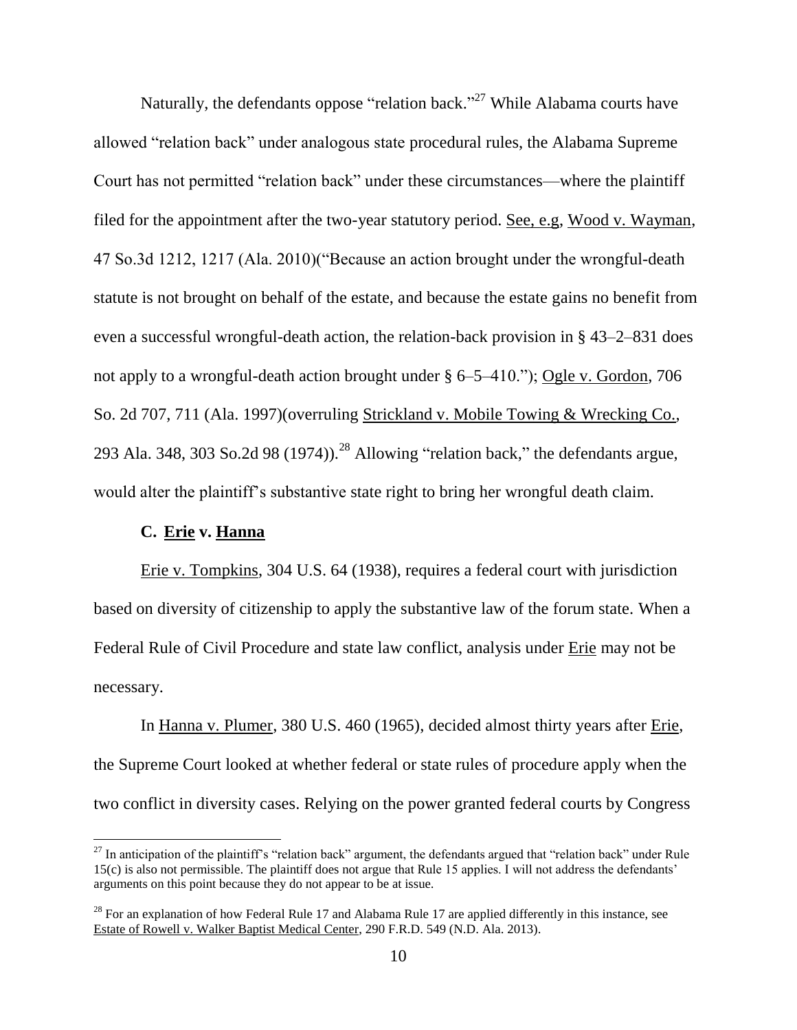Naturally, the defendants oppose "relation back."<sup>27</sup> While Alabama courts have allowed "relation back" under analogous state procedural rules, the Alabama Supreme Court has not permitted "relation back" under these circumstances—where the plaintiff filed for the appointment after the two-year statutory period. See, e.g, Wood v. Wayman, 47 So.3d 1212, 1217 (Ala. 2010)("Because an action brought under the wrongful-death statute is not brought on behalf of the estate, and because the estate gains no benefit from even a successful wrongful-death action, the relation-back provision in § 43–2–831 does not apply to a wrongful-death action brought under § 6–5–410."); Ogle v. Gordon, 706 So. 2d 707, 711 (Ala. 1997)(overruling Strickland v. Mobile Towing & Wrecking Co., 293 Ala. 348, 303 So.2d 98 (1974)).<sup>28</sup> Allowing "relation back," the defendants argue, would alter the plaintiff's substantive state right to bring her wrongful death claim.

# **C. Erie v. Hanna**

l

Erie v. Tompkins, 304 U.S. 64 (1938), requires a federal court with jurisdiction based on diversity of citizenship to apply the substantive law of the forum state. When a Federal Rule of Civil Procedure and state law conflict, analysis under Erie may not be necessary.

In Hanna v. Plumer, 380 U.S. 460 (1965), decided almost thirty years after Erie, the Supreme Court looked at whether federal or state rules of procedure apply when the two conflict in diversity cases. Relying on the power granted federal courts by Congress

 $^{27}$  In anticipation of the plaintiff's "relation back" argument, the defendants argued that "relation back" under Rule 15(c) is also not permissible. The plaintiff does not argue that Rule 15 applies. I will not address the defendants' arguments on this point because they do not appear to be at issue.

<sup>&</sup>lt;sup>28</sup> For an explanation of how Federal Rule 17 and Alabama Rule 17 are applied differently in this instance, see Estate of Rowell v. Walker Baptist Medical Center, 290 F.R.D. 549 (N.D. Ala. 2013).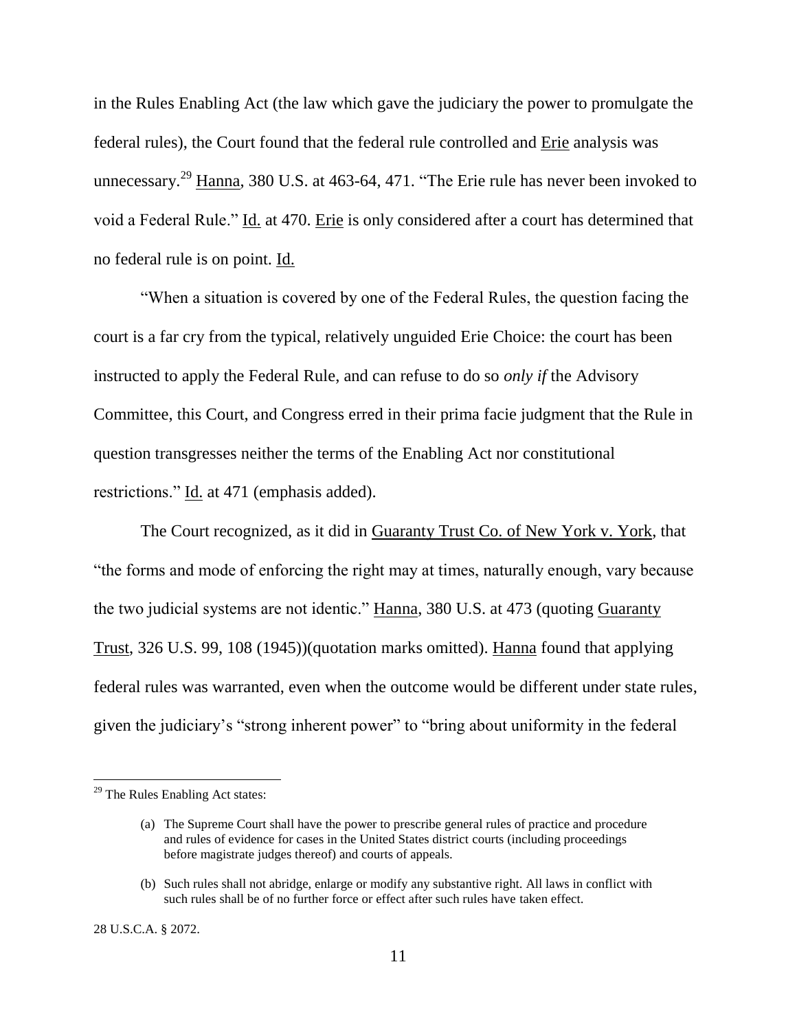in the Rules Enabling Act (the law which gave the judiciary the power to promulgate the federal rules), the Court found that the federal rule controlled and Erie analysis was unnecessary.<sup>29</sup> Hanna, 380 U.S. at 463-64, 471. "The Erie rule has never been invoked to void a Federal Rule." Id. at 470. Erie is only considered after a court has determined that no federal rule is on point. Id.

"When a situation is covered by one of the Federal Rules, the question facing the court is a far cry from the typical, relatively unguided Erie Choice: the court has been instructed to apply the Federal Rule, and can refuse to do so *only if* the Advisory Committee, this Court, and Congress erred in their prima facie judgment that the Rule in question transgresses neither the terms of the Enabling Act nor constitutional restrictions." Id. at 471 (emphasis added).

The Court recognized, as it did in Guaranty Trust Co. of New York v. York, that "the forms and mode of enforcing the right may at times, naturally enough, vary because the two judicial systems are not identic." Hanna, 380 U.S. at 473 (quoting Guaranty Trust, 326 U.S. 99, 108 (1945))(quotation marks omitted). Hanna found that applying federal rules was warranted, even when the outcome would be different under state rules, given the judiciary's "strong inherent power" to "bring about uniformity in the federal

28 U.S.C.A. § 2072.

 $29$  The Rules Enabling Act states:

<sup>(</sup>a) The Supreme Court shall have the power to prescribe general rules of practice and procedure and rules of evidence for cases in the United States district courts (including proceedings before magistrate judges thereof) and courts of appeals.

<sup>(</sup>b) Such rules shall not abridge, enlarge or modify any substantive right. All laws in conflict with such rules shall be of no further force or effect after such rules have taken effect.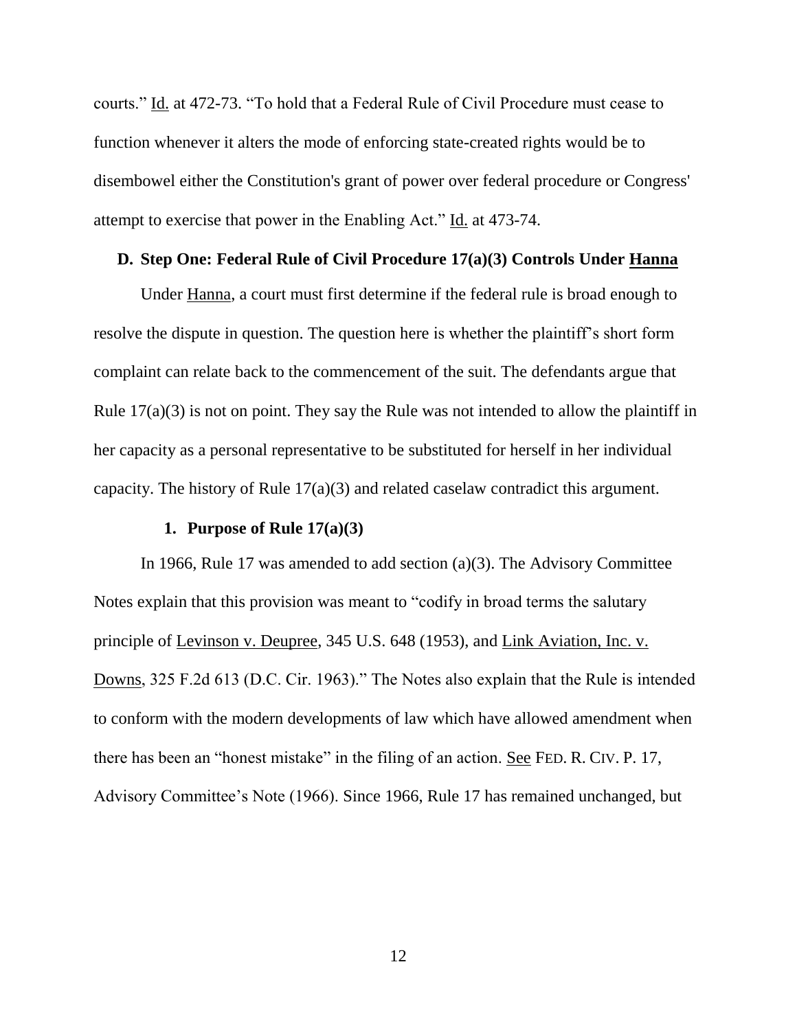courts." Id. at 472-73. "To hold that a Federal Rule of Civil Procedure must cease to function whenever it alters the mode of enforcing state-created rights would be to disembowel either the Constitution's grant of power over federal procedure or Congress' attempt to exercise that power in the Enabling Act." Id. at 473-74.

#### **D. Step One: Federal Rule of Civil Procedure 17(a)(3) Controls Under Hanna**

Under Hanna, a court must first determine if the federal rule is broad enough to resolve the dispute in question. The question here is whether the plaintiff's short form complaint can relate back to the commencement of the suit. The defendants argue that Rule 17(a)(3) is not on point. They say the Rule was not intended to allow the plaintiff in her capacity as a personal representative to be substituted for herself in her individual capacity. The history of Rule 17(a)(3) and related caselaw contradict this argument.

#### **1. Purpose of Rule 17(a)(3)**

In 1966, Rule 17 was amended to add section (a)(3). The Advisory Committee Notes explain that this provision was meant to "codify in broad terms the salutary principle of Levinson v. Deupree, 345 U.S. 648 (1953), and Link Aviation, Inc. v. Downs, 325 F.2d 613 (D.C. Cir. 1963)." The Notes also explain that the Rule is intended to conform with the modern developments of law which have allowed amendment when there has been an "honest mistake" in the filing of an action. See FED. R. CIV. P. 17, Advisory Committee's Note (1966). Since 1966, Rule 17 has remained unchanged, but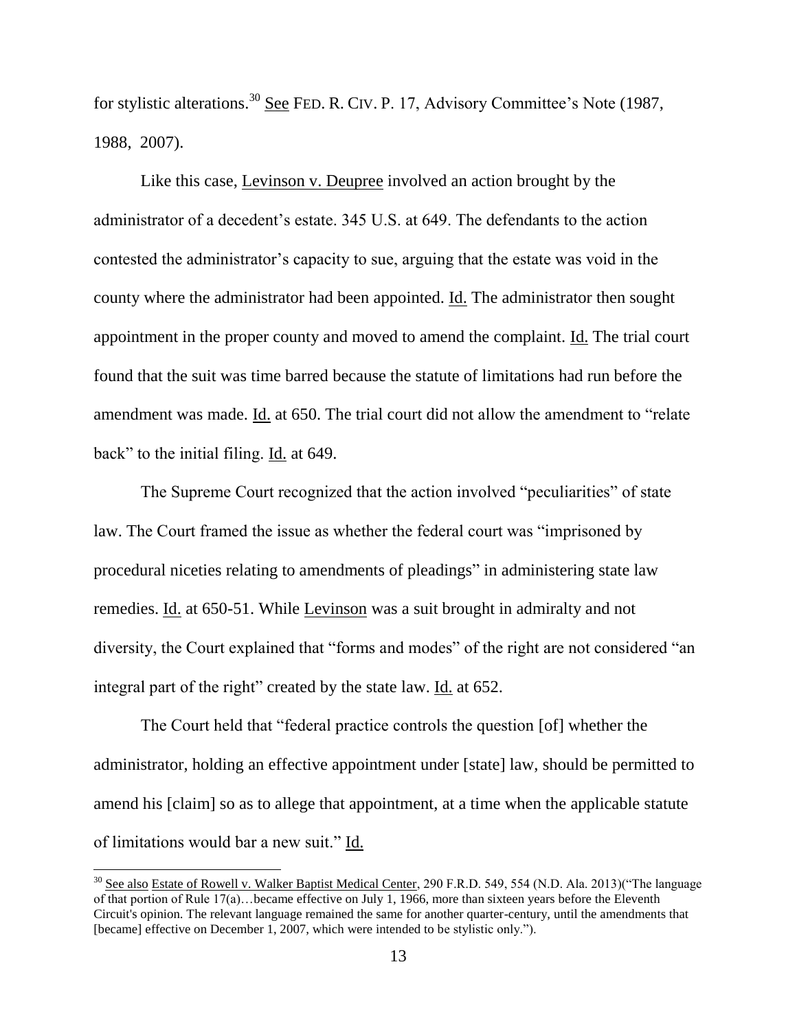for stylistic alterations.<sup>30</sup> See FED. R. CIV. P. 17, Advisory Committee's Note (1987, 1988, 2007).

Like this case, Levinson v. Deupree involved an action brought by the administrator of a decedent's estate. 345 U.S. at 649. The defendants to the action contested the administrator's capacity to sue, arguing that the estate was void in the county where the administrator had been appointed. Id. The administrator then sought appointment in the proper county and moved to amend the complaint. Id. The trial court found that the suit was time barred because the statute of limitations had run before the amendment was made. Id. at 650. The trial court did not allow the amendment to "relate back" to the initial filing. Id. at 649.

The Supreme Court recognized that the action involved "peculiarities" of state law. The Court framed the issue as whether the federal court was "imprisoned by procedural niceties relating to amendments of pleadings" in administering state law remedies. Id. at 650-51. While Levinson was a suit brought in admiralty and not diversity, the Court explained that "forms and modes" of the right are not considered "an integral part of the right" created by the state law. Id. at 652.

The Court held that "federal practice controls the question [of] whether the administrator, holding an effective appointment under [state] law, should be permitted to amend his [claim] so as to allege that appointment, at a time when the applicable statute of limitations would bar a new suit." Id.

<sup>&</sup>lt;sup>30</sup> See also Estate of Rowell v. Walker Baptist Medical Center, 290 F.R.D. 549, 554 (N.D. Ala. 2013)("The language of that portion of Rule 17(a)…became effective on July 1, 1966, more than sixteen years before the Eleventh Circuit's opinion. The relevant language remained the same for another quarter-century, until the amendments that [became] effective on December 1, 2007, which were intended to be stylistic only.").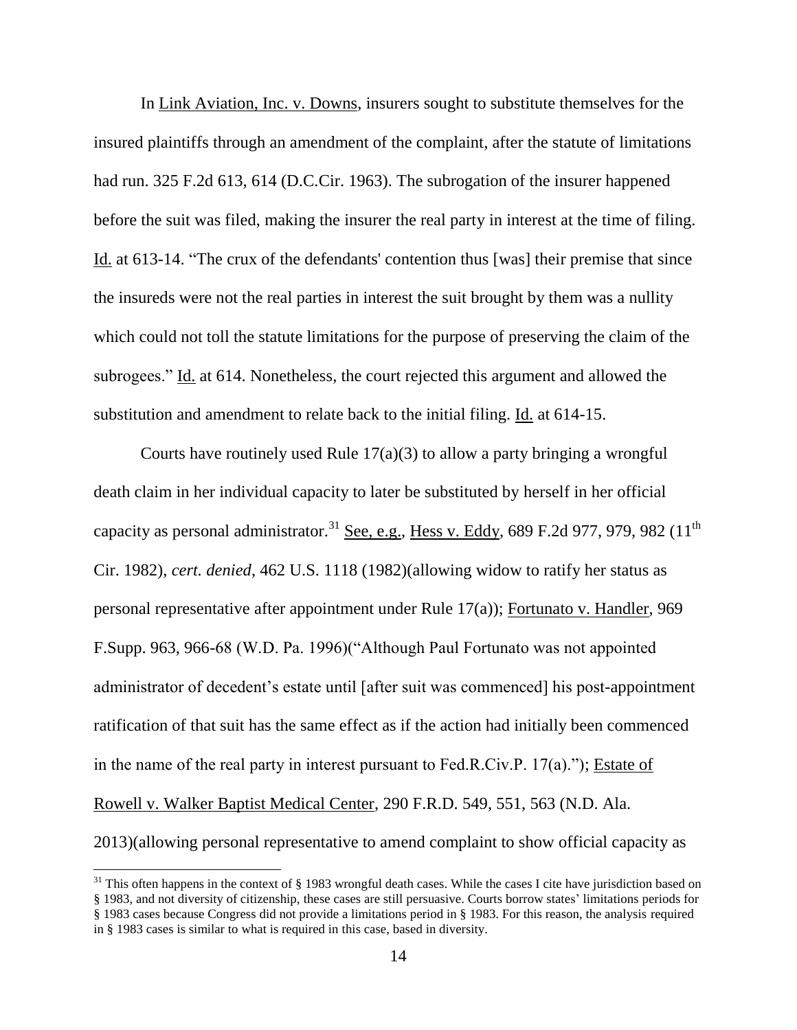In Link Aviation, Inc. v. Downs, insurers sought to substitute themselves for the insured plaintiffs through an amendment of the complaint, after the statute of limitations had run. 325 F.2d 613, 614 (D.C.Cir. 1963). The subrogation of the insurer happened before the suit was filed, making the insurer the real party in interest at the time of filing. Id. at 613-14. "The crux of the defendants' contention thus [was] their premise that since the insureds were not the real parties in interest the suit brought by them was a nullity which could not toll the statute limitations for the purpose of preserving the claim of the subrogees." Id. at 614. Nonetheless, the court rejected this argument and allowed the substitution and amendment to relate back to the initial filing. Id. at 614-15.

Courts have routinely used Rule  $17(a)(3)$  to allow a party bringing a wrongful death claim in her individual capacity to later be substituted by herself in her official capacity as personal administrator.<sup>31</sup> See, e.g., Hess v. Eddy, 689 F.2d 977, 979, 982 (11<sup>th</sup>) Cir. 1982), *cert. denied*, 462 U.S. 1118 (1982)(allowing widow to ratify her status as personal representative after appointment under Rule 17(a)); Fortunato v. Handler, 969 F.Supp. 963, 966-68 (W.D. Pa. 1996)("Although Paul Fortunato was not appointed administrator of decedent's estate until [after suit was commenced] his post-appointment ratification of that suit has the same effect as if the action had initially been commenced in the name of the real party in interest pursuant to Fed.R.Civ.P. 17(a)."); Estate of Rowell v. Walker Baptist Medical Center, 290 F.R.D. 549, 551, 563 (N.D. Ala. 2013)(allowing personal representative to amend complaint to show official capacity as

 $31$  This often happens in the context of § 1983 wrongful death cases. While the cases I cite have jurisdiction based on § 1983, and not diversity of citizenship, these cases are still persuasive. Courts borrow states' limitations periods for § 1983 cases because Congress did not provide a limitations period in § 1983. For this reason, the analysis required

in § 1983 cases is similar to what is required in this case, based in diversity.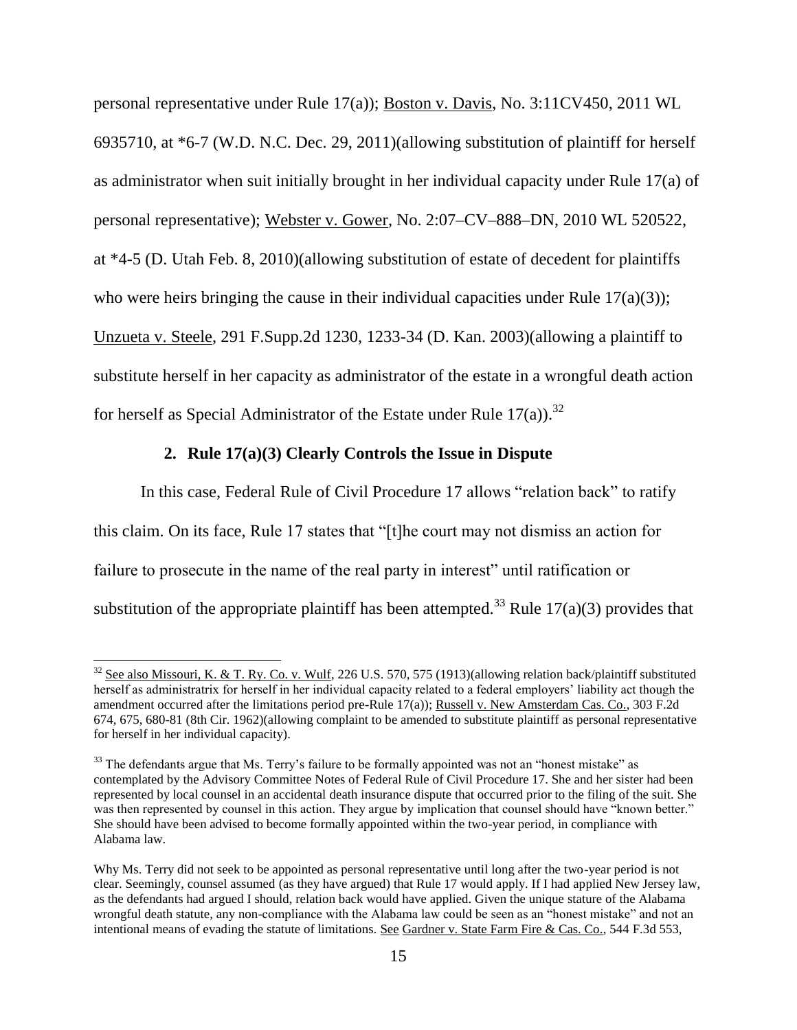personal representative under Rule 17(a)); Boston v. Davis, No. 3:11CV450, 2011 WL 6935710, at \*6-7 (W.D. N.C. Dec. 29, 2011)(allowing substitution of plaintiff for herself as administrator when suit initially brought in her individual capacity under Rule 17(a) of personal representative); Webster v. Gower, No. 2:07–CV–888–DN, 2010 WL 520522, at \*4-5 (D. Utah Feb. 8, 2010)(allowing substitution of estate of decedent for plaintiffs who were heirs bringing the cause in their individual capacities under Rule 17(a)(3)); Unzueta v. Steele, 291 F.Supp.2d 1230, 1233-34 (D. Kan. 2003)(allowing a plaintiff to substitute herself in her capacity as administrator of the estate in a wrongful death action for herself as Special Administrator of the Estate under Rule  $17(a)$ .<sup>32</sup>

#### **2. Rule 17(a)(3) Clearly Controls the Issue in Dispute**

 $\overline{a}$ 

In this case, Federal Rule of Civil Procedure 17 allows "relation back" to ratify this claim. On its face, Rule 17 states that "[t]he court may not dismiss an action for failure to prosecute in the name of the real party in interest" until ratification or substitution of the appropriate plaintiff has been attempted.<sup>33</sup> Rule 17(a)(3) provides that

 $32$  See also Missouri, K. & T. Ry. Co. v. Wulf, 226 U.S. 570, 575 (1913)(allowing relation back/plaintiff substituted herself as administratrix for herself in her individual capacity related to a federal employers' liability act though the amendment occurred after the limitations period pre-Rule 17(a)); Russell v. New Amsterdam Cas. Co., 303 F.2d 674, 675, 680-81 (8th Cir. 1962)(allowing complaint to be amended to substitute plaintiff as personal representative for herself in her individual capacity).

<sup>&</sup>lt;sup>33</sup> The defendants argue that Ms. Terry's failure to be formally appointed was not an "honest mistake" as contemplated by the Advisory Committee Notes of Federal Rule of Civil Procedure 17. She and her sister had been represented by local counsel in an accidental death insurance dispute that occurred prior to the filing of the suit. She was then represented by counsel in this action. They argue by implication that counsel should have "known better." She should have been advised to become formally appointed within the two-year period, in compliance with Alabama law.

Why Ms. Terry did not seek to be appointed as personal representative until long after the two-year period is not clear. Seemingly, counsel assumed (as they have argued) that Rule 17 would apply. If I had applied New Jersey law, as the defendants had argued I should, relation back would have applied. Given the unique stature of the Alabama wrongful death statute, any non-compliance with the Alabama law could be seen as an "honest mistake" and not an intentional means of evading the statute of limitations. See Gardner v. State Farm Fire & Cas. Co., 544 F.3d 553,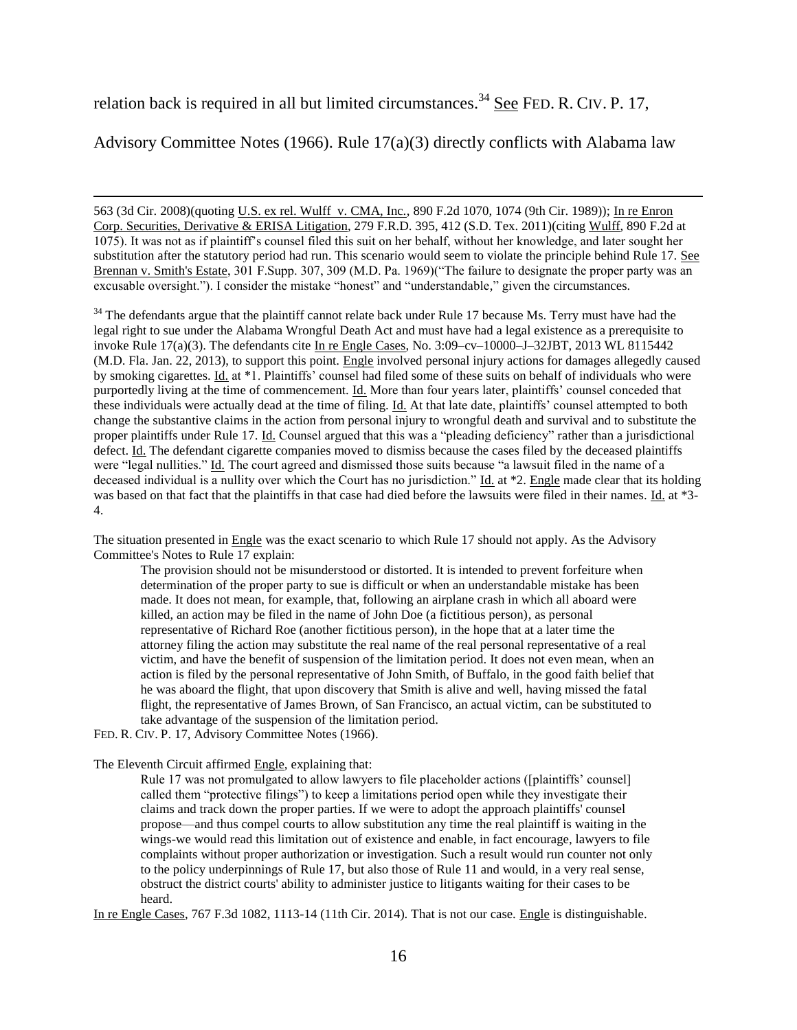relation back is required in all but limited circumstances.<sup>34</sup> See FED. R. CIV. P. 17,

Advisory Committee Notes (1966). Rule 17(a)(3) directly conflicts with Alabama law

563 (3d Cir. 2008)(quoting U.S. ex rel. Wulff v. CMA, Inc., 890 F.2d 1070, 1074 (9th Cir. 1989)); In re Enron Corp. Securities, Derivative & ERISA Litigation, 279 F.R.D. 395, 412 (S.D. Tex. 2011)(citing Wulff, 890 F.2d at 1075). It was not as if plaintiff's counsel filed this suit on her behalf, without her knowledge, and later sought her substitution after the statutory period had run. This scenario would seem to violate the principle behind Rule 17. See Brennan v. Smith's Estate, 301 F.Supp. 307, 309 (M.D. Pa. 1969)("The failure to designate the proper party was an excusable oversight."). I consider the mistake "honest" and "understandable," given the circumstances.

<sup>34</sup> The defendants argue that the plaintiff cannot relate back under Rule 17 because Ms. Terry must have had the legal right to sue under the Alabama Wrongful Death Act and must have had a legal existence as a prerequisite to invoke Rule 17(a)(3). The defendants cite In re Engle Cases, No. 3:09–cv–10000–J–32JBT, 2013 WL 8115442 (M.D. Fla. Jan. 22, 2013), to support this point. Engle involved personal injury actions for damages allegedly caused by smoking cigarettes. Id. at \*1. Plaintiffs' counsel had filed some of these suits on behalf of individuals who were purportedly living at the time of commencement. Id. More than four years later, plaintiffs' counsel conceded that these individuals were actually dead at the time of filing. Id. At that late date, plaintiffs' counsel attempted to both change the substantive claims in the action from personal injury to wrongful death and survival and to substitute the proper plaintiffs under Rule 17. Id. Counsel argued that this was a "pleading deficiency" rather than a jurisdictional defect. Id. The defendant cigarette companies moved to dismiss because the cases filed by the deceased plaintiffs were "legal nullities." Id. The court agreed and dismissed those suits because "a lawsuit filed in the name of a deceased individual is a nullity over which the Court has no jurisdiction." Id. at \*2. Engle made clear that its holding was based on that fact that the plaintiffs in that case had died before the lawsuits were filed in their names. Id. at \*3- 4.

The situation presented in Engle was the exact scenario to which Rule 17 should not apply. As the Advisory Committee's Notes to Rule 17 explain:

The provision should not be misunderstood or distorted. It is intended to prevent forfeiture when determination of the proper party to sue is difficult or when an understandable mistake has been made. It does not mean, for example, that, following an airplane crash in which all aboard were killed, an action may be filed in the name of John Doe (a fictitious person), as personal representative of Richard Roe (another fictitious person), in the hope that at a later time the attorney filing the action may substitute the real name of the real personal representative of a real victim, and have the benefit of suspension of the limitation period. It does not even mean, when an action is filed by the personal representative of John Smith, of Buffalo, in the good faith belief that he was aboard the flight, that upon discovery that Smith is alive and well, having missed the fatal flight, the representative of James Brown, of San Francisco, an actual victim, can be substituted to take advantage of the suspension of the limitation period.

FED. R. CIV. P. 17, Advisory Committee Notes (1966).

 $\overline{\phantom{a}}$ 

The Eleventh Circuit affirmed Engle, explaining that:

Rule 17 was not promulgated to allow lawyers to file placeholder actions ([plaintiffs' counsel] called them "protective filings") to keep a limitations period open while they investigate their claims and track down the proper parties. If we were to adopt the approach plaintiffs' counsel propose—and thus compel courts to allow substitution any time the real plaintiff is waiting in the wings-we would read this limitation out of existence and enable, in fact encourage, lawyers to file complaints without proper authorization or investigation. Such a result would run counter not only to the policy underpinnings of Rule 17, but also those of Rule 11 and would, in a very real sense, obstruct the district courts' ability to administer justice to litigants waiting for their cases to be heard.

In re Engle Cases, 767 F.3d 1082, 1113-14 (11th Cir. 2014). That is not our case. Engle is distinguishable.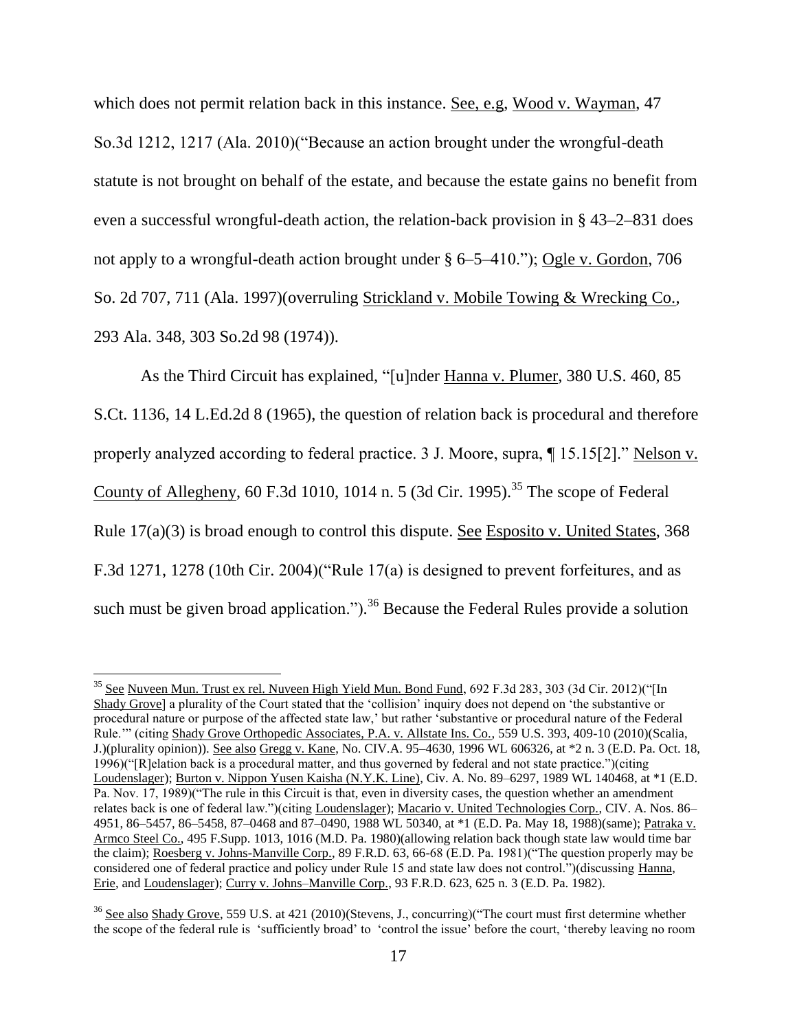which does not permit relation back in this instance. <u>See, e.g</u>, Wood v. Wayman, 47 So.3d 1212, 1217 (Ala. 2010)("Because an action brought under the wrongful-death statute is not brought on behalf of the estate, and because the estate gains no benefit from even a successful wrongful-death action, the relation-back provision in § 43–2–831 does not apply to a wrongful-death action brought under § 6–5–410."); Ogle v. Gordon, 706 So. 2d 707, 711 (Ala. 1997)(overruling Strickland v. Mobile Towing & Wrecking Co., 293 Ala. 348, 303 So.2d 98 (1974)).

As the Third Circuit has explained, "[u]nder Hanna v. Plumer, 380 U.S. 460, 85 S.Ct. 1136, 14 L.Ed.2d 8 (1965), the question of relation back is procedural and therefore properly analyzed according to federal practice. 3 J. Moore, supra, ¶ 15.15[2]." Nelson v. County of Allegheny, 60 F.3d 1010, 1014 n. 5 (3d Cir. 1995).<sup>35</sup> The scope of Federal Rule 17(a)(3) is broad enough to control this dispute. See Esposito v. United States, 368 F.3d 1271, 1278 (10th Cir. 2004)("Rule 17(a) is designed to prevent forfeitures, and as such must be given broad application.").<sup>36</sup> Because the Federal Rules provide a solution

 $35$  See Nuveen Mun. Trust ex rel. Nuveen High Yield Mun. Bond Fund, 692 F.3d 283, 303 (3d Cir. 2012)("[In Shady Grove] a plurality of the Court stated that the 'collision' inquiry does not depend on 'the substantive or procedural nature or purpose of the affected state law,' but rather 'substantive or procedural nature of the Federal Rule.'" (citing Shady Grove Orthopedic Associates, P.A. v. Allstate Ins. Co., 559 U.S. 393, 409-10 (2010)(Scalia, J.)(plurality opinion)). See also Gregg v. Kane, No. CIV.A. 95–4630, 1996 WL 606326, at \*2 n. 3 (E.D. Pa. Oct. 18, 1996)("[R]elation back is a procedural matter, and thus governed by federal and not state practice.")(citing Loudenslager); Burton v. Nippon Yusen Kaisha (N.Y.K. Line), Civ. A. No. 89–6297, 1989 WL 140468, at \*1 (E.D. Pa. Nov. 17, 1989)("The rule in this Circuit is that, even in diversity cases, the question whether an amendment relates back is one of federal law.")(citing Loudenslager); Macario v. United Technologies Corp., CIV. A. Nos. 86– 4951, 86–5457, 86–5458, 87–0468 and 87–0490, 1988 WL 50340, at \*1 (E.D. Pa. May 18, 1988)(same); Patraka v. Armco Steel Co., 495 F.Supp. 1013, 1016 (M.D. Pa. 1980)(allowing relation back though state law would time bar the claim); Roesberg v. Johns-Manville Corp., 89 F.R.D. 63, 66-68 (E.D. Pa. 1981)("The question properly may be considered one of federal practice and policy under Rule 15 and state law does not control.")(discussing Hanna, Erie, and Loudenslager); Curry v. Johns–Manville Corp., 93 F.R.D. 623, 625 n. 3 (E.D. Pa. 1982).

<sup>&</sup>lt;sup>36</sup> See also Shady Grove, 559 U.S. at 421 (2010)(Stevens, J., concurring)("The court must first determine whether the scope of the federal rule is 'sufficiently broad' to 'control the issue' before the court, 'thereby leaving no room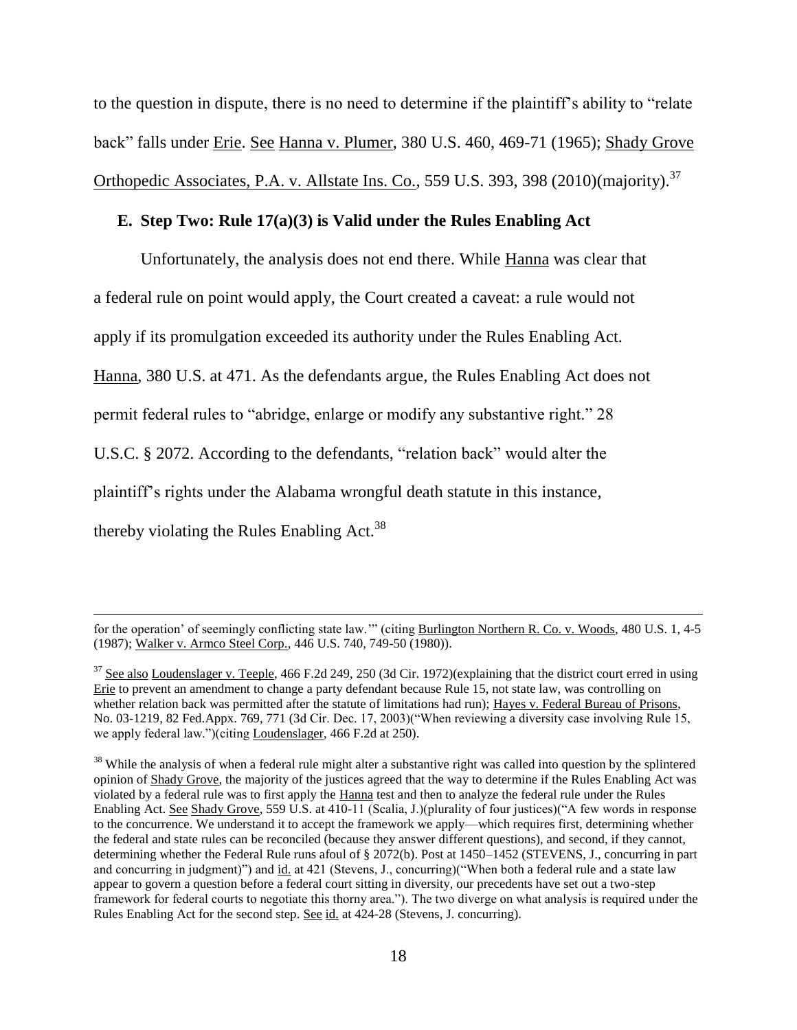to the question in dispute, there is no need to determine if the plaintiff's ability to "relate back" falls under Erie. See Hanna v. Plumer, 380 U.S. 460, 469-71 (1965); Shady Grove Orthopedic Associates, P.A. v. Allstate Ins. Co., 559 U.S. 393, 398 (2010) (majority).<sup>37</sup>

## **E. Step Two: Rule 17(a)(3) is Valid under the Rules Enabling Act**

Unfortunately, the analysis does not end there. While Hanna was clear that a federal rule on point would apply, the Court created a caveat: a rule would not apply if its promulgation exceeded its authority under the Rules Enabling Act. Hanna, 380 U.S. at 471. As the defendants argue, the Rules Enabling Act does not permit federal rules to "abridge, enlarge or modify any substantive right." 28 U.S.C. § 2072. According to the defendants, "relation back" would alter the plaintiff's rights under the Alabama wrongful death statute in this instance, thereby violating the Rules Enabling Act.<sup>38</sup>

for the operation' of seemingly conflicting state law.'" (citing Burlington Northern R. Co. v. Woods, 480 U.S. 1, 4-5 (1987); Walker v. Armco Steel Corp., 446 U.S. 740, 749-50 (1980)).

<sup>&</sup>lt;sup>37</sup> See also Loudenslager v. Teeple, 466 F.2d 249, 250 (3d Cir. 1972)(explaining that the district court erred in using Erie to prevent an amendment to change a party defendant because Rule 15, not state law, was controlling on whether relation back was permitted after the statute of limitations had run); Hayes v. Federal Bureau of Prisons, No. 03-1219, 82 Fed.Appx. 769, 771 (3d Cir. Dec. 17, 2003)("When reviewing a diversity case involving Rule 15, we apply federal law.")(citing Loudenslager, 466 F.2d at 250).

<sup>&</sup>lt;sup>38</sup> While the analysis of when a federal rule might alter a substantive right was called into question by the splintered opinion of Shady Grove, the majority of the justices agreed that the way to determine if the Rules Enabling Act was violated by a federal rule was to first apply the Hanna test and then to analyze the federal rule under the Rules Enabling Act. See Shady Grove, 559 U.S. at 410-11 (Scalia, J.)(plurality of four justices)("A few words in response to the concurrence. We understand it to accept the framework we apply—which requires first, determining whether the federal and state rules can be reconciled (because they answer different questions), and second, if they cannot, determining whether the Federal Rule runs afoul of § 2072(b). Post at 1450–1452 (STEVENS, J., concurring in part and concurring in judgment)") and id. at 421 (Stevens, J., concurring)("When both a federal rule and a state law appear to govern a question before a federal court sitting in diversity, our precedents have set out a two-step framework for federal courts to negotiate this thorny area."). The two diverge on what analysis is required under the Rules Enabling Act for the second step. See id. at 424-28 (Stevens, J. concurring).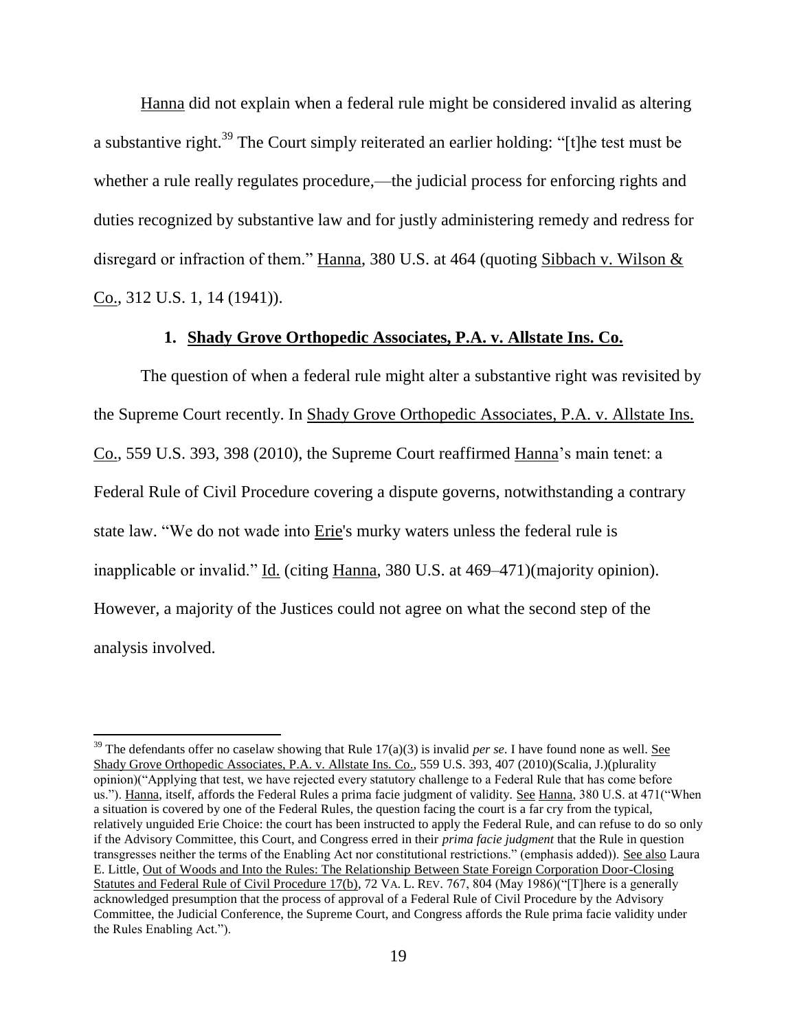Hanna did not explain when a federal rule might be considered invalid as altering a substantive right.<sup>39</sup> The Court simply reiterated an earlier holding: "[t]he test must be whether a rule really regulates procedure,—the judicial process for enforcing rights and duties recognized by substantive law and for justly administering remedy and redress for disregard or infraction of them." Hanna, 380 U.S. at 464 (quoting Sibbach v. Wilson & Co., 312 U.S. 1, 14 (1941)).

## **1. Shady Grove Orthopedic Associates, P.A. v. Allstate Ins. Co.**

The question of when a federal rule might alter a substantive right was revisited by the Supreme Court recently. In Shady Grove Orthopedic Associates, P.A. v. Allstate Ins. Co., 559 U.S. 393, 398 (2010), the Supreme Court reaffirmed Hanna's main tenet: a Federal Rule of Civil Procedure covering a dispute governs, notwithstanding a contrary state law. "We do not wade into Erie's murky waters unless the federal rule is inapplicable or invalid." Id. (citing Hanna, 380 U.S. at 469–471)(majority opinion). However, a majority of the Justices could not agree on what the second step of the analysis involved.

<sup>&</sup>lt;sup>39</sup> The defendants offer no caselaw showing that Rule 17(a)(3) is invalid *per se*. I have found none as well. See Shady Grove Orthopedic Associates, P.A. v. Allstate Ins. Co., 559 U.S. 393, 407 (2010)(Scalia, J.)(plurality opinion)("Applying that test, we have rejected every statutory challenge to a Federal Rule that has come before us."). Hanna, itself, affords the Federal Rules a prima facie judgment of validity. See Hanna, 380 U.S. at 471("When a situation is covered by one of the Federal Rules, the question facing the court is a far cry from the typical, relatively unguided Erie Choice: the court has been instructed to apply the Federal Rule, and can refuse to do so only if the Advisory Committee, this Court, and Congress erred in their *prima facie judgment* that the Rule in question transgresses neither the terms of the Enabling Act nor constitutional restrictions." (emphasis added)). See also Laura E. Little, Out of Woods and Into the Rules: The Relationship Between State Foreign Corporation Door-Closing Statutes and Federal Rule of Civil Procedure 17(b), 72 VA. L. REV. 767, 804 (May 1986)("[T]here is a generally acknowledged presumption that the process of approval of a Federal Rule of Civil Procedure by the Advisory Committee, the Judicial Conference, the Supreme Court, and Congress affords the Rule prima facie validity under the Rules Enabling Act.").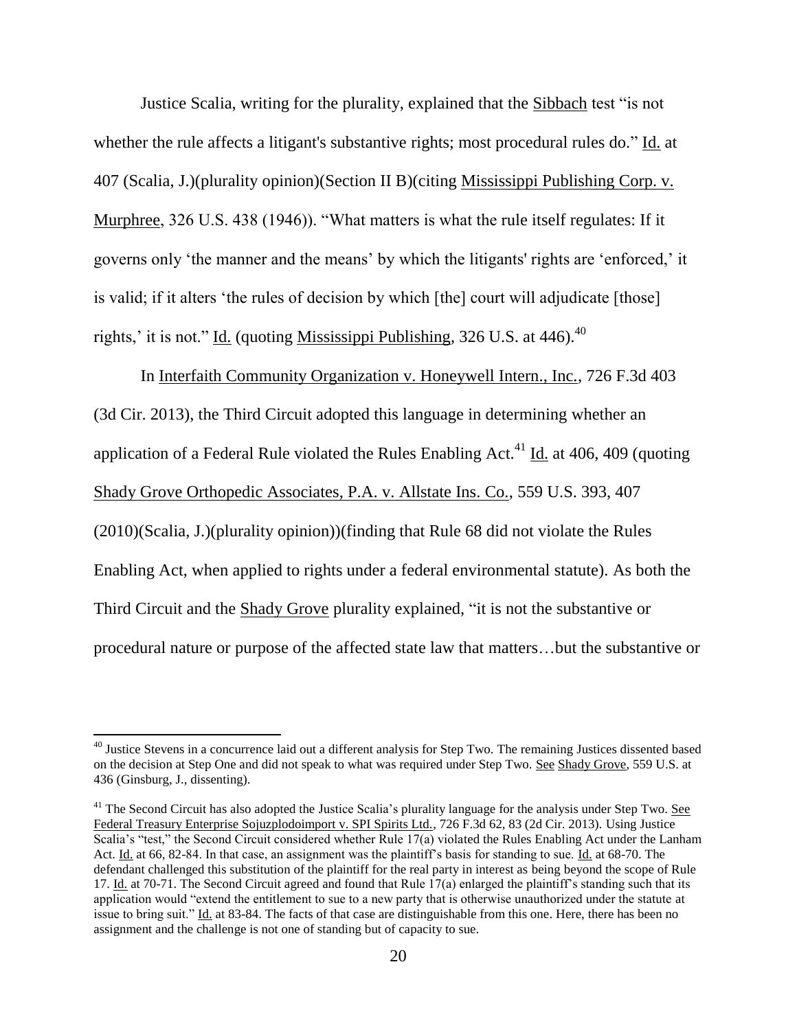Justice Scalia, writing for the plurality, explained that the Sibbach test "is not whether the rule affects a litigant's substantive rights; most procedural rules do." Id. at 407 (Scalia, J.)(plurality opinion)(Section II B)(citing Mississippi Publishing Corp. v. Murphree, 326 U.S. 438 (1946)). "What matters is what the rule itself regulates: If it governs only 'the manner and the means' by which the litigants' rights are 'enforced,' it is valid; if it alters 'the rules of decision by which [the] court will adjudicate [those] rights,' it is not." Id. (quoting Mississippi Publishing,  $326$  U.S. at 446).<sup>40</sup>

In Interfaith Community Organization v. Honeywell Intern., Inc., 726 F.3d 403 (3d Cir. 2013), the Third Circuit adopted this language in determining whether an application of a Federal Rule violated the Rules Enabling Act.<sup>41</sup> Id. at 406, 409 (quoting Shady Grove Orthopedic Associates, P.A. v. Allstate Ins. Co., 559 U.S. 393, 407 (2010)(Scalia, J.)(plurality opinion))(finding that Rule 68 did not violate the Rules Enabling Act, when applied to rights under a federal environmental statute). As both the Third Circuit and the Shady Grove plurality explained, "it is not the substantive or procedural nature or purpose of the affected state law that matters…but the substantive or

 $40$  Justice Stevens in a concurrence laid out a different analysis for Step Two. The remaining Justices dissented based on the decision at Step One and did not speak to what was required under Step Two. See Shady Grove, 559 U.S. at 436 (Ginsburg, J., dissenting).

 $41$  The Second Circuit has also adopted the Justice Scalia's plurality language for the analysis under Step Two. See Federal Treasury Enterprise Sojuzplodoimport v. SPI Spirits Ltd., 726 F.3d 62, 83 (2d Cir. 2013). Using Justice Scalia's "test," the Second Circuit considered whether Rule 17(a) violated the Rules Enabling Act under the Lanham Act. Id. at 66, 82-84. In that case, an assignment was the plaintiff's basis for standing to sue. Id. at 68-70. The defendant challenged this substitution of the plaintiff for the real party in interest as being beyond the scope of Rule 17. Id. at 70-71. The Second Circuit agreed and found that Rule 17(a) enlarged the plaintiff's standing such that its application would "extend the entitlement to sue to a new party that is otherwise unauthorized under the statute at issue to bring suit." Id. at 83-84. The facts of that case are distinguishable from this one. Here, there has been no assignment and the challenge is not one of standing but of capacity to sue.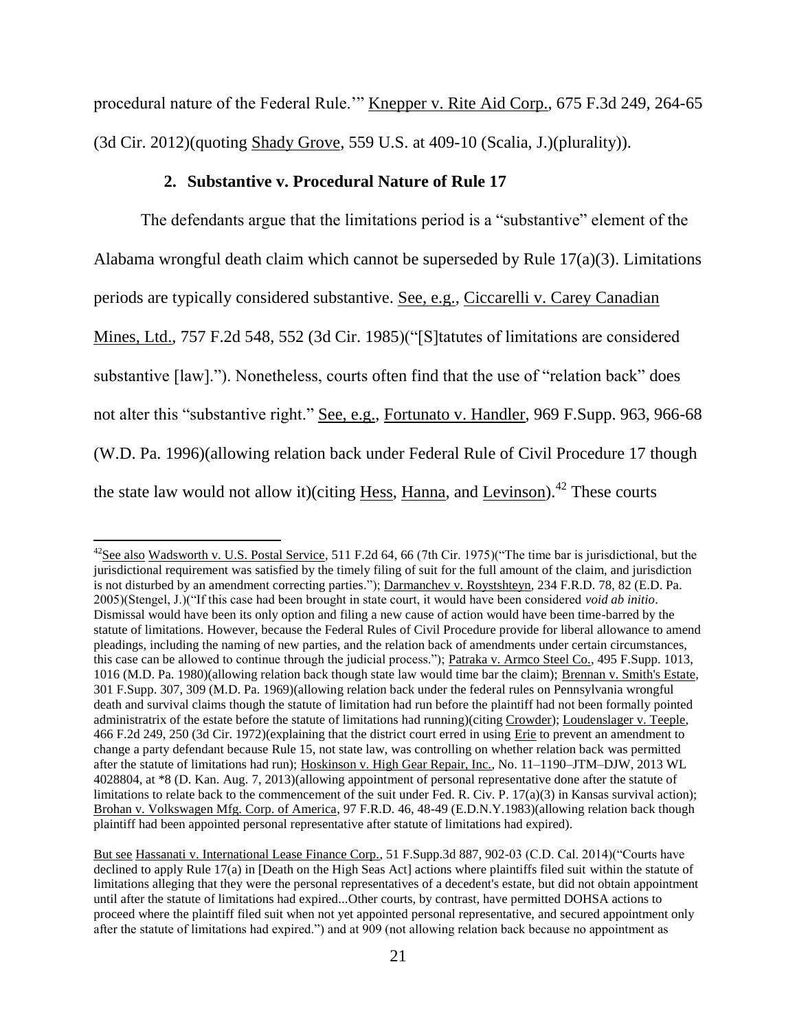procedural nature of the Federal Rule.'" Knepper v. Rite Aid Corp., 675 F.3d 249, 264-65 (3d Cir. 2012)(quoting Shady Grove, 559 U.S. at 409-10 (Scalia, J.)(plurality)).

## **2. Substantive v. Procedural Nature of Rule 17**

 $\overline{a}$ 

The defendants argue that the limitations period is a "substantive" element of the Alabama wrongful death claim which cannot be superseded by Rule 17(a)(3). Limitations periods are typically considered substantive. See, e.g., Ciccarelli v. Carey Canadian Mines, Ltd., 757 F.2d 548, 552 (3d Cir. 1985)("[S]tatutes of limitations are considered substantive [law]."). Nonetheless, courts often find that the use of "relation back" does not alter this "substantive right." See, e.g., Fortunato v. Handler, 969 F.Supp. 963, 966-68 (W.D. Pa. 1996)(allowing relation back under Federal Rule of Civil Procedure 17 though the state law would not allow it)(citing Hess, Hanna, and Levinson).<sup>42</sup> These courts

 $^{42}$ See also Wadsworth v. U.S. Postal Service, 511 F.2d 64, 66 (7th Cir. 1975)("The time bar is jurisdictional, but the jurisdictional requirement was satisfied by the timely filing of suit for the full amount of the claim, and jurisdiction is not disturbed by an amendment correcting parties."); Darmanchev v. Roystshteyn, 234 F.R.D. 78, 82 (E.D. Pa. 2005)(Stengel, J.)("If this case had been brought in state court, it would have been considered *void ab initio*. Dismissal would have been its only option and filing a new cause of action would have been time-barred by the statute of limitations. However, because the Federal Rules of Civil Procedure provide for liberal allowance to amend pleadings, including the naming of new parties, and the relation back of amendments under certain circumstances, this case can be allowed to continue through the judicial process."); Patraka v. Armco Steel Co., 495 F.Supp. 1013, 1016 (M.D. Pa. 1980)(allowing relation back though state law would time bar the claim); Brennan v. Smith's Estate, 301 F.Supp. 307, 309 (M.D. Pa. 1969)(allowing relation back under the federal rules on Pennsylvania wrongful death and survival claims though the statute of limitation had run before the plaintiff had not been formally pointed administratrix of the estate before the statute of limitations had running)(citing Crowder); Loudenslager v. Teeple, 466 F.2d 249, 250 (3d Cir. 1972)(explaining that the district court erred in using Erie to prevent an amendment to change a party defendant because Rule 15, not state law, was controlling on whether relation back was permitted after the statute of limitations had run); Hoskinson v. High Gear Repair, Inc., No. 11–1190–JTM–DJW, 2013 WL 4028804, at \*8 (D. Kan. Aug. 7, 2013)(allowing appointment of personal representative done after the statute of limitations to relate back to the commencement of the suit under Fed. R. Civ. P. 17(a)(3) in Kansas survival action); Brohan v. Volkswagen Mfg. Corp. of America, 97 F.R.D. 46, 48-49 (E.D.N.Y.1983)(allowing relation back though plaintiff had been appointed personal representative after statute of limitations had expired).

But see Hassanati v. International Lease Finance Corp., 51 F.Supp.3d 887, 902-03 (C.D. Cal. 2014)("Courts have declined to apply Rule 17(a) in [Death on the High Seas Act] actions where plaintiffs filed suit within the statute of limitations alleging that they were the personal representatives of a decedent's estate, but did not obtain appointment until after the statute of limitations had expired...Other courts, by contrast, have permitted DOHSA actions to proceed where the plaintiff filed suit when not yet appointed personal representative, and secured appointment only after the statute of limitations had expired.") and at 909 (not allowing relation back because no appointment as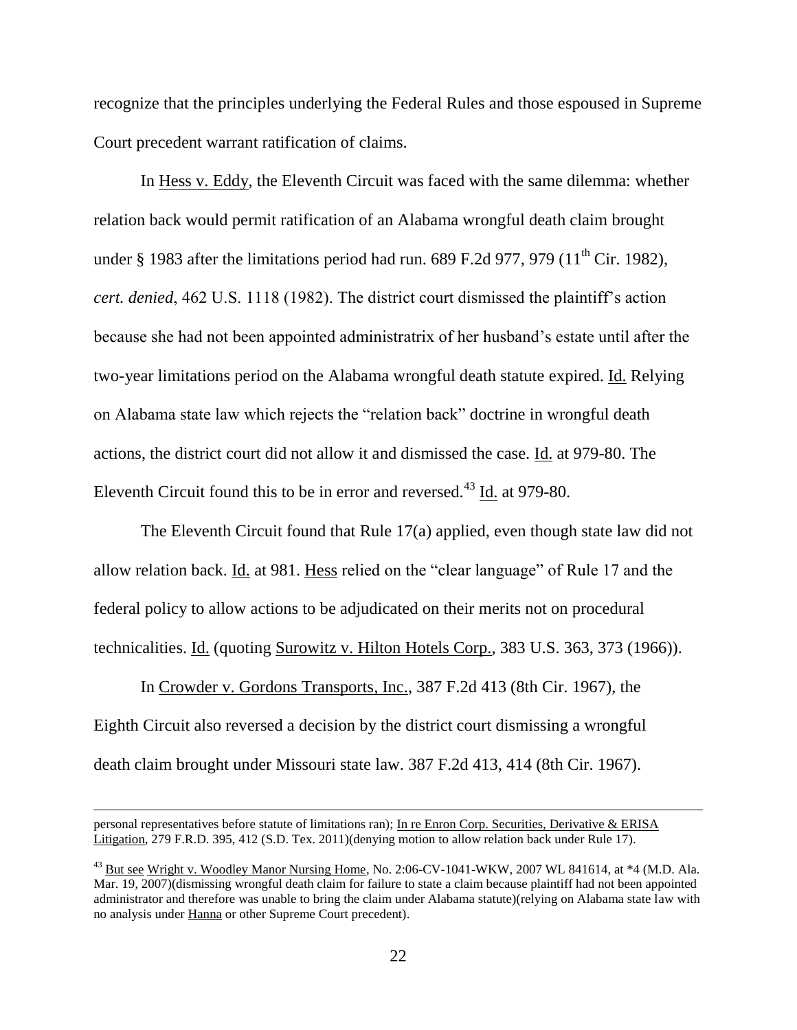recognize that the principles underlying the Federal Rules and those espoused in Supreme Court precedent warrant ratification of claims.

In Hess v. Eddy, the Eleventh Circuit was faced with the same dilemma: whether relation back would permit ratification of an Alabama wrongful death claim brought under  $\S$  1983 after the limitations period had run. 689 F.2d 977, 979 (11<sup>th</sup> Cir. 1982), *cert. denied*, 462 U.S. 1118 (1982). The district court dismissed the plaintiff's action because she had not been appointed administratrix of her husband's estate until after the two-year limitations period on the Alabama wrongful death statute expired. Id. Relying on Alabama state law which rejects the "relation back" doctrine in wrongful death actions, the district court did not allow it and dismissed the case. Id. at 979-80. The Eleventh Circuit found this to be in error and reversed.<sup>43</sup> Id. at 979-80.

The Eleventh Circuit found that Rule 17(a) applied, even though state law did not allow relation back. Id. at 981. Hess relied on the "clear language" of Rule 17 and the federal policy to allow actions to be adjudicated on their merits not on procedural technicalities. Id. (quoting Surowitz v. Hilton Hotels Corp., 383 U.S. 363, 373 (1966)).

In Crowder v. Gordons Transports, Inc., 387 F.2d 413 (8th Cir. 1967), the Eighth Circuit also reversed a decision by the district court dismissing a wrongful death claim brought under Missouri state law. 387 F.2d 413, 414 (8th Cir. 1967).

personal representatives before statute of limitations ran); In re Enron Corp. Securities, Derivative & ERISA Litigation, 279 F.R.D. 395, 412 (S.D. Tex. 2011)(denying motion to allow relation back under Rule 17).

 $^{43}$  But see Wright v. Woodley Manor Nursing Home, No. 2:06-CV-1041-WKW, 2007 WL 841614, at  $*4$  (M.D. Ala.) Mar. 19, 2007)(dismissing wrongful death claim for failure to state a claim because plaintiff had not been appointed administrator and therefore was unable to bring the claim under Alabama statute)(relying on Alabama state law with no analysis under Hanna or other Supreme Court precedent).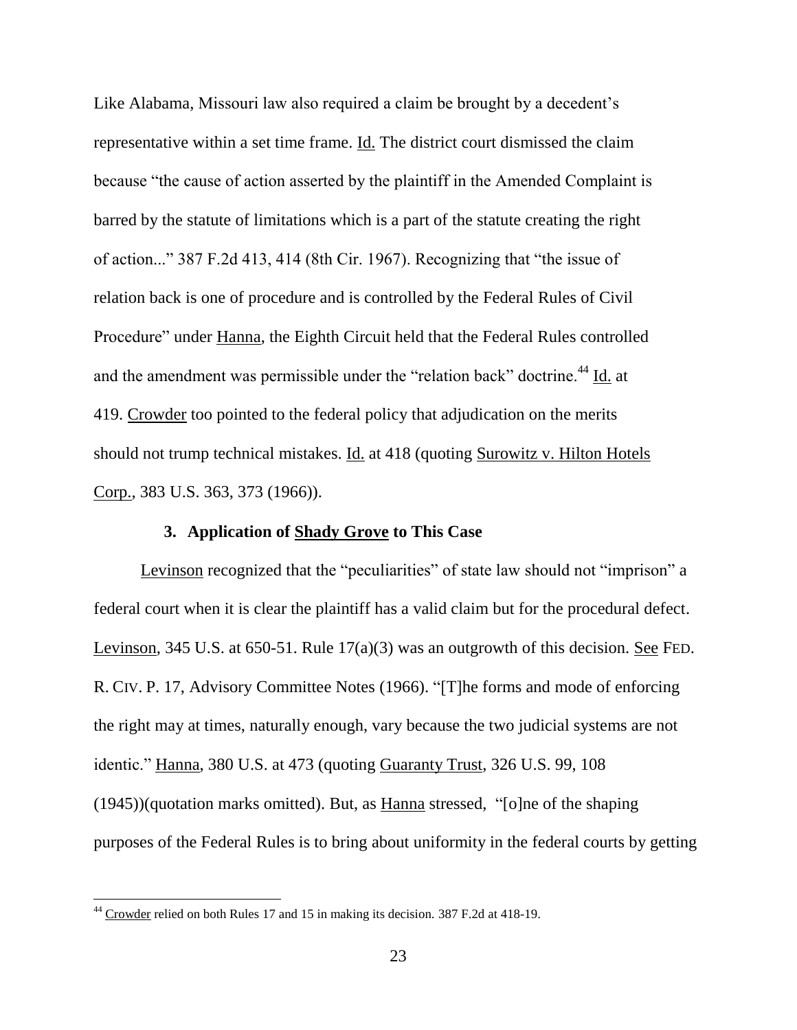Like Alabama, Missouri law also required a claim be brought by a decedent's representative within a set time frame. Id. The district court dismissed the claim because "the cause of action asserted by the plaintiff in the Amended Complaint is barred by the statute of limitations which is a part of the statute creating the right of action..." 387 F.2d 413, 414 (8th Cir. 1967). Recognizing that "the issue of relation back is one of procedure and is controlled by the Federal Rules of Civil Procedure" under Hanna, the Eighth Circuit held that the Federal Rules controlled and the amendment was permissible under the "relation back" doctrine.<sup>44</sup> Id. at 419. Crowder too pointed to the federal policy that adjudication on the merits should not trump technical mistakes. Id. at 418 (quoting Surowitz v. Hilton Hotels Corp., 383 U.S. 363, 373 (1966)).

# **3. Application of Shady Grove to This Case**

Levinson recognized that the "peculiarities" of state law should not "imprison" a federal court when it is clear the plaintiff has a valid claim but for the procedural defect. Levinson, 345 U.S. at 650-51. Rule 17(a)(3) was an outgrowth of this decision. See FED. R. CIV. P. 17, Advisory Committee Notes (1966). "[T]he forms and mode of enforcing the right may at times, naturally enough, vary because the two judicial systems are not identic." Hanna, 380 U.S. at 473 (quoting Guaranty Trust, 326 U.S. 99, 108 (1945))(quotation marks omitted). But, as Hanna stressed, "[o]ne of the shaping purposes of the Federal Rules is to bring about uniformity in the federal courts by getting

 $44$  Crowder relied on both Rules 17 and 15 in making its decision. 387 F.2d at 418-19.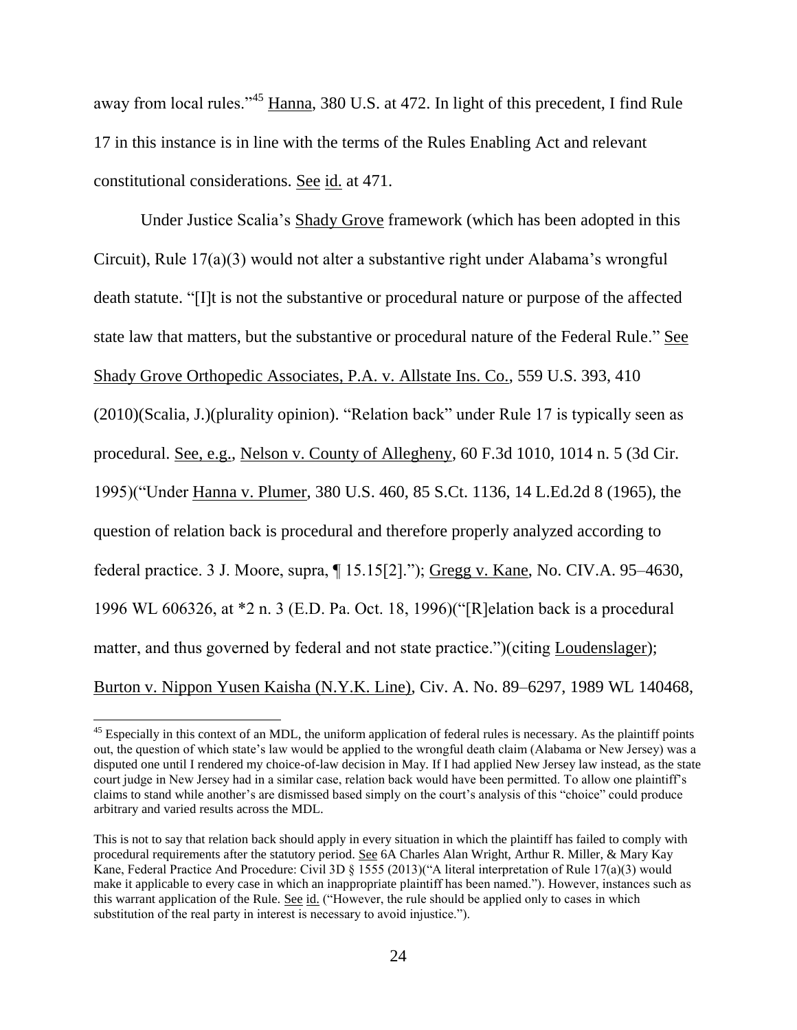away from local rules."<sup>45</sup> Hanna, 380 U.S. at 472. In light of this precedent, I find Rule 17 in this instance is in line with the terms of the Rules Enabling Act and relevant constitutional considerations. See id. at 471.

Under Justice Scalia's Shady Grove framework (which has been adopted in this Circuit), Rule 17(a)(3) would not alter a substantive right under Alabama's wrongful death statute. "[I]t is not the substantive or procedural nature or purpose of the affected state law that matters, but the substantive or procedural nature of the Federal Rule." See Shady Grove Orthopedic Associates, P.A. v. Allstate Ins. Co., 559 U.S. 393, 410 (2010)(Scalia, J.)(plurality opinion). "Relation back" under Rule 17 is typically seen as procedural. See, e.g., Nelson v. County of Allegheny, 60 F.3d 1010, 1014 n. 5 (3d Cir. 1995)("Under Hanna v. Plumer, 380 U.S. 460, 85 S.Ct. 1136, 14 L.Ed.2d 8 (1965), the question of relation back is procedural and therefore properly analyzed according to federal practice. 3 J. Moore, supra, ¶ 15.15[2]."); Gregg v. Kane, No. CIV.A. 95–4630, 1996 WL 606326, at \*2 n. 3 (E.D. Pa. Oct. 18, 1996)("[R]elation back is a procedural matter, and thus governed by federal and not state practice.")(citing Loudenslager); Burton v. Nippon Yusen Kaisha (N.Y.K. Line), Civ. A. No. 89–6297, 1989 WL 140468,

 $45$  Especially in this context of an MDL, the uniform application of federal rules is necessary. As the plaintiff points out, the question of which state's law would be applied to the wrongful death claim (Alabama or New Jersey) was a disputed one until I rendered my choice-of-law decision in May. If I had applied New Jersey law instead, as the state court judge in New Jersey had in a similar case, relation back would have been permitted. To allow one plaintiff's claims to stand while another's are dismissed based simply on the court's analysis of this "choice" could produce arbitrary and varied results across the MDL.

This is not to say that relation back should apply in every situation in which the plaintiff has failed to comply with procedural requirements after the statutory period. See 6A Charles Alan Wright, Arthur R. Miller, & Mary Kay Kane, Federal Practice And Procedure: Civil 3D § 1555 (2013)("A literal interpretation of Rule 17(a)(3) would make it applicable to every case in which an inappropriate plaintiff has been named."). However, instances such as this warrant application of the Rule. See id. ("However, the rule should be applied only to cases in which substitution of the real party in interest is necessary to avoid injustice.").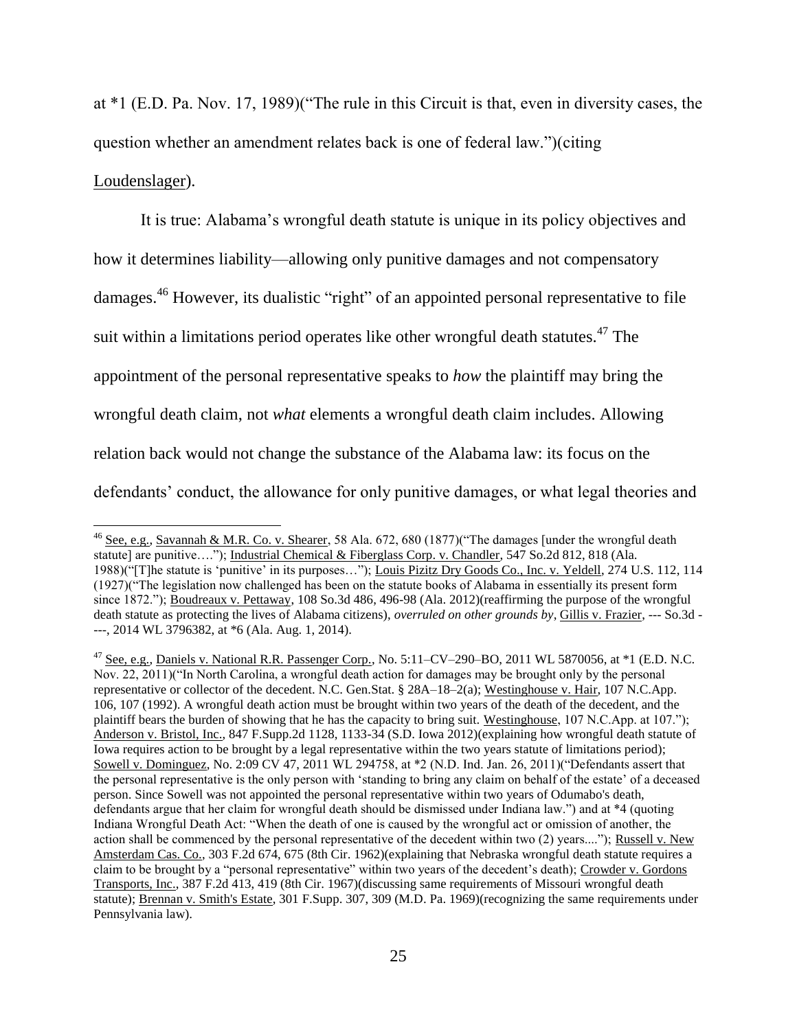at \*1 (E.D. Pa. Nov. 17, 1989)("The rule in this Circuit is that, even in diversity cases, the question whether an amendment relates back is one of federal law.")(citing Loudenslager).

It is true: Alabama's wrongful death statute is unique in its policy objectives and how it determines liability—allowing only punitive damages and not compensatory damages.<sup>46</sup> However, its dualistic "right" of an appointed personal representative to file suit within a limitations period operates like other wrongful death statutes.<sup>47</sup> The appointment of the personal representative speaks to *how* the plaintiff may bring the wrongful death claim, not *what* elements a wrongful death claim includes. Allowing relation back would not change the substance of the Alabama law: its focus on the defendants' conduct, the allowance for only punitive damages, or what legal theories and

l

<sup>&</sup>lt;sup>46</sup> See, e.g., Savannah & M.R. Co. v. Shearer, 58 Ala. 672, 680 (1877)("The damages [under the wrongful death statute] are punitive...."); Industrial Chemical & Fiberglass Corp. v. Chandler, 547 So.2d 812, 818 (Ala. 1988)("[T]he statute is 'punitive' in its purposes…"); Louis Pizitz Dry Goods Co., Inc. v. Yeldell, 274 U.S. 112, 114 (1927)("The legislation now challenged has been on the statute books of Alabama in essentially its present form since 1872."); Boudreaux v. Pettaway, 108 So.3d 486, 496-98 (Ala. 2012)(reaffirming the purpose of the wrongful death statute as protecting the lives of Alabama citizens), *overruled on other grounds by*, Gillis v. Frazier, --- So.3d - ---, 2014 WL 3796382, at \*6 (Ala. Aug. 1, 2014).

<sup>47</sup> See, e.g., Daniels v. National R.R. Passenger Corp., No. 5:11–CV–290–BO, 2011 WL 5870056, at \*1 (E.D. N.C. Nov. 22, 2011)("In North Carolina, a wrongful death action for damages may be brought only by the personal representative or collector of the decedent. N.C. Gen.Stat. § 28A–18–2(a); Westinghouse v. Hair, 107 N.C.App. 106, 107 (1992). A wrongful death action must be brought within two years of the death of the decedent, and the plaintiff bears the burden of showing that he has the capacity to bring suit. Westinghouse, 107 N.C.App. at 107."); Anderson v. Bristol, Inc., 847 F.Supp.2d 1128, 1133-34 (S.D. Iowa 2012)(explaining how wrongful death statute of Iowa requires action to be brought by a legal representative within the two years statute of limitations period); Sowell v. Dominguez, No. 2:09 CV 47, 2011 WL 294758, at \*2 (N.D. Ind. Jan. 26, 2011)("Defendants assert that the personal representative is the only person with 'standing to bring any claim on behalf of the estate' of a deceased person. Since Sowell was not appointed the personal representative within two years of Odumabo's death, defendants argue that her claim for wrongful death should be dismissed under Indiana law.") and at \*4 (quoting Indiana Wrongful Death Act: "When the death of one is caused by the wrongful act or omission of another, the action shall be commenced by the personal representative of the decedent within two (2) years...."); Russell v. New Amsterdam Cas. Co., 303 F.2d 674, 675 (8th Cir. 1962)(explaining that Nebraska wrongful death statute requires a claim to be brought by a "personal representative" within two years of the decedent's death); Crowder v. Gordons Transports, Inc., 387 F.2d 413, 419 (8th Cir. 1967)(discussing same requirements of Missouri wrongful death statute); Brennan v. Smith's Estate, 301 F.Supp. 307, 309 (M.D. Pa. 1969)(recognizing the same requirements under Pennsylvania law).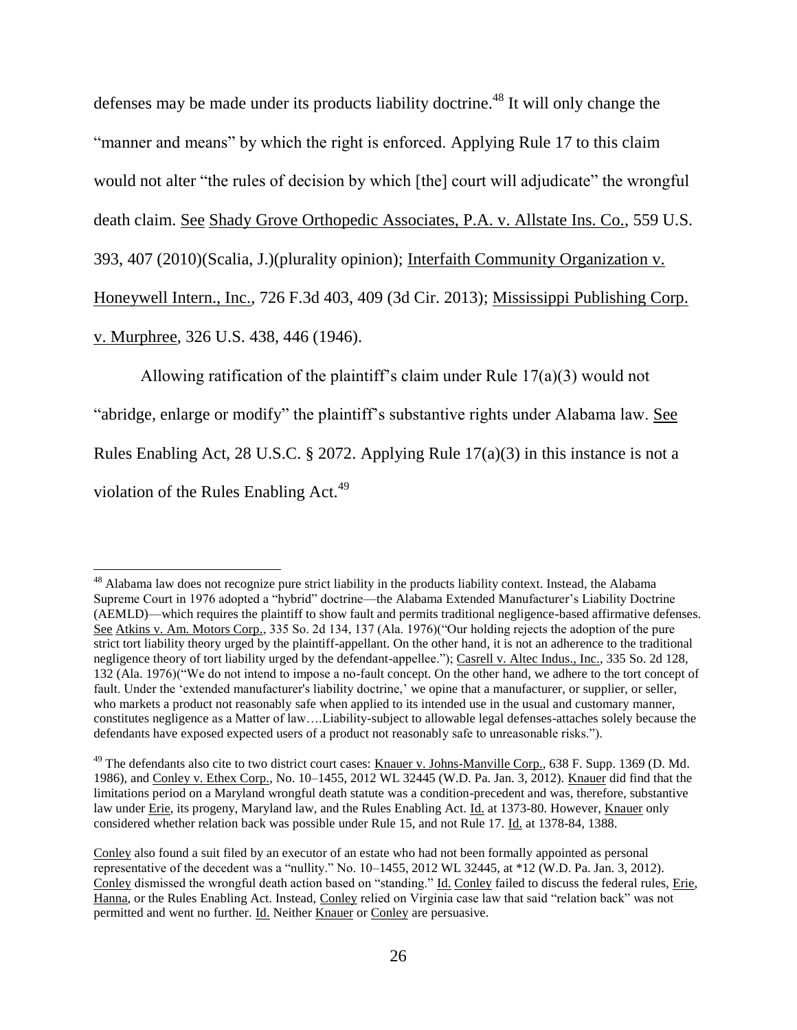defenses may be made under its products liability doctrine.<sup>48</sup> It will only change the "manner and means" by which the right is enforced. Applying Rule 17 to this claim would not alter "the rules of decision by which [the] court will adjudicate" the wrongful death claim. See Shady Grove Orthopedic Associates, P.A. v. Allstate Ins. Co., 559 U.S. 393, 407 (2010)(Scalia, J.)(plurality opinion); Interfaith Community Organization v. Honeywell Intern., Inc., 726 F.3d 403, 409 (3d Cir. 2013); Mississippi Publishing Corp. v. Murphree, 326 U.S. 438, 446 (1946).

Allowing ratification of the plaintiff's claim under Rule 17(a)(3) would not "abridge, enlarge or modify" the plaintiff's substantive rights under Alabama law. See Rules Enabling Act, 28 U.S.C. § 2072. Applying Rule 17(a)(3) in this instance is not a violation of the Rules Enabling Act.<sup>49</sup>

l <sup>48</sup> Alabama law does not recognize pure strict liability in the products liability context. Instead, the Alabama Supreme Court in 1976 adopted a "hybrid" doctrine—the Alabama Extended Manufacturer's Liability Doctrine (AEMLD)—which requires the plaintiff to show fault and permits traditional negligence-based affirmative defenses. See Atkins v. Am. Motors Corp., 335 So. 2d 134, 137 (Ala. 1976)("Our holding rejects the adoption of the pure strict tort liability theory urged by the plaintiff-appellant. On the other hand, it is not an adherence to the traditional negligence theory of tort liability urged by the defendant-appellee."); Casrell v. Altec Indus., Inc., 335 So. 2d 128, 132 (Ala. 1976)("We do not intend to impose a no-fault concept. On the other hand, we adhere to the tort concept of fault. Under the 'extended manufacturer's liability doctrine,' we opine that a manufacturer, or supplier, or seller, who markets a product not reasonably safe when applied to its intended use in the usual and customary manner, constitutes negligence as a Matter of law….Liability-subject to allowable legal defenses-attaches solely because the defendants have exposed expected users of a product not reasonably safe to unreasonable risks.").

<sup>&</sup>lt;sup>49</sup> The defendants also cite to two district court cases: Knauer v. Johns-Manville Corp., 638 F. Supp. 1369 (D. Md. 1986), and Conley v. Ethex Corp., No. 10–1455, 2012 WL 32445 (W.D. Pa. Jan. 3, 2012). Knauer did find that the limitations period on a Maryland wrongful death statute was a condition-precedent and was, therefore, substantive law under Erie, its progeny, Maryland law, and the Rules Enabling Act. Id. at 1373-80. However, Knauer only considered whether relation back was possible under Rule 15, and not Rule 17. Id. at 1378-84, 1388.

Conley also found a suit filed by an executor of an estate who had not been formally appointed as personal representative of the decedent was a "nullity." No. 10–1455, 2012 WL 32445, at \*12 (W.D. Pa. Jan. 3, 2012). Conley dismissed the wrongful death action based on "standing." Id. Conley failed to discuss the federal rules, Erie, Hanna, or the Rules Enabling Act. Instead, Conley relied on Virginia case law that said "relation back" was not permitted and went no further. Id. Neither Knauer or Conley are persuasive.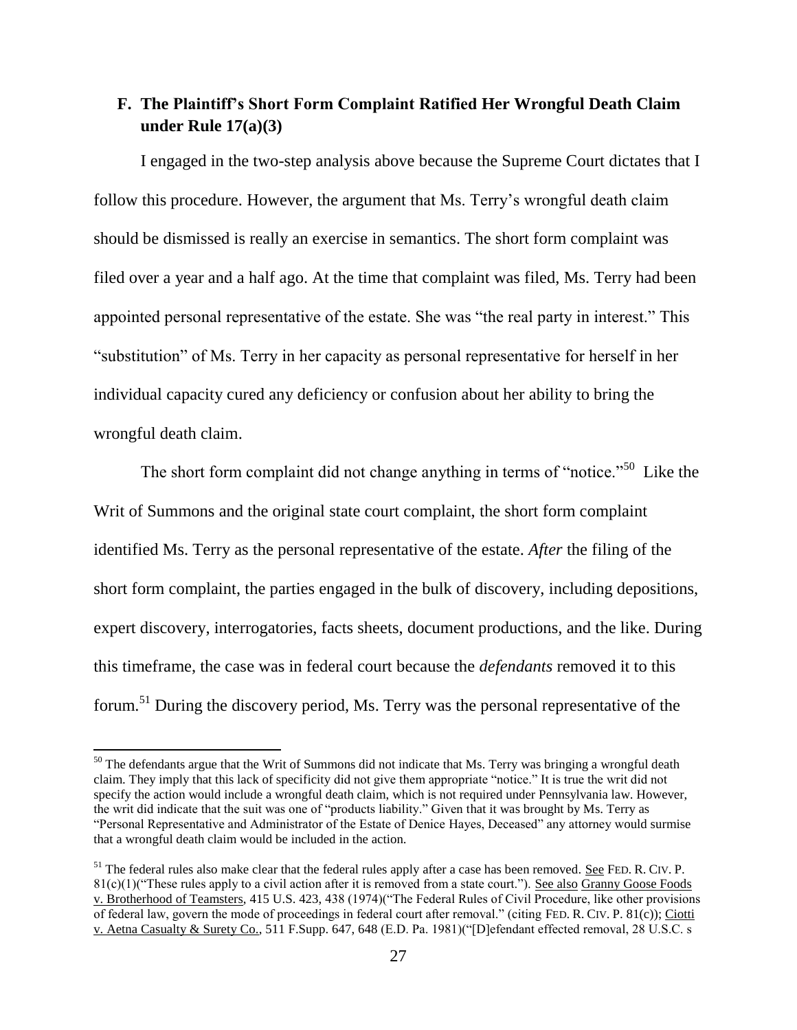# **F. The Plaintiff's Short Form Complaint Ratified Her Wrongful Death Claim under Rule 17(a)(3)**

I engaged in the two-step analysis above because the Supreme Court dictates that I follow this procedure. However, the argument that Ms. Terry's wrongful death claim should be dismissed is really an exercise in semantics. The short form complaint was filed over a year and a half ago. At the time that complaint was filed, Ms. Terry had been appointed personal representative of the estate. She was "the real party in interest." This "substitution" of Ms. Terry in her capacity as personal representative for herself in her individual capacity cured any deficiency or confusion about her ability to bring the wrongful death claim.

The short form complaint did not change anything in terms of "notice."<sup>50</sup> Like the Writ of Summons and the original state court complaint, the short form complaint identified Ms. Terry as the personal representative of the estate. *After* the filing of the short form complaint, the parties engaged in the bulk of discovery, including depositions, expert discovery, interrogatories, facts sheets, document productions, and the like. During this timeframe, the case was in federal court because the *defendants* removed it to this forum.<sup>51</sup> During the discovery period, Ms. Terry was the personal representative of the

 $50$  The defendants argue that the Writ of Summons did not indicate that Ms. Terry was bringing a wrongful death claim. They imply that this lack of specificity did not give them appropriate "notice." It is true the writ did not specify the action would include a wrongful death claim, which is not required under Pennsylvania law. However, the writ did indicate that the suit was one of "products liability." Given that it was brought by Ms. Terry as "Personal Representative and Administrator of the Estate of Denice Hayes, Deceased" any attorney would surmise that a wrongful death claim would be included in the action.

 $51$  The federal rules also make clear that the federal rules apply after a case has been removed. See FED. R. CIV. P.  $81(c)(1)$ ("These rules apply to a civil action after it is removed from a state court."). See also Granny Goose Foods v. Brotherhood of Teamsters, 415 U.S. 423, 438 (1974)("The Federal Rules of Civil Procedure, like other provisions of federal law, govern the mode of proceedings in federal court after removal." (citing FED. R. CIV. P. 81(c)); Ciotti v. Aetna Casualty & Surety Co., 511 F.Supp. 647, 648 (E.D. Pa. 1981)("[D]efendant effected removal, 28 U.S.C. s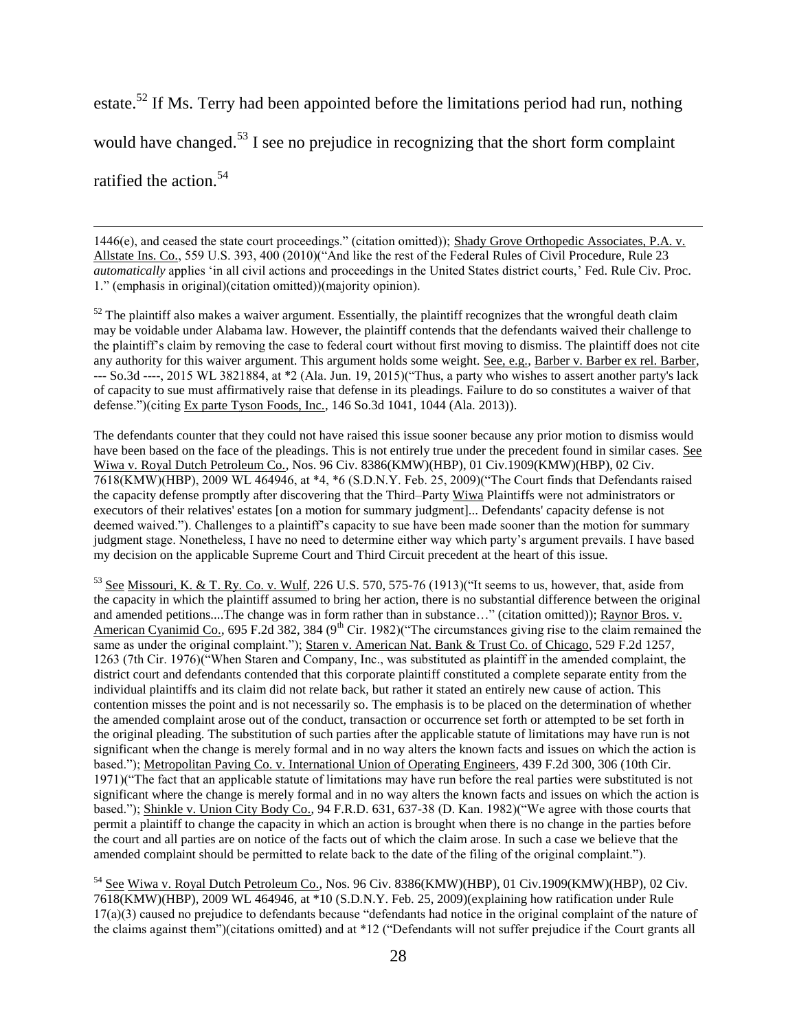estate.<sup>52</sup> If Ms. Terry had been appointed before the limitations period had run, nothing would have changed.<sup>53</sup> I see no prejudice in recognizing that the short form complaint ratified the action.<sup>54</sup>

1446(e), and ceased the state court proceedings." (citation omitted)); Shady Grove Orthopedic Associates, P.A. v. Allstate Ins. Co., 559 U.S. 393, 400 (2010)("And like the rest of the Federal Rules of Civil Procedure, Rule 23 *automatically* applies 'in all civil actions and proceedings in the United States district courts,' Fed. Rule Civ. Proc. 1." (emphasis in original)(citation omitted))(majority opinion).

 $\overline{\phantom{a}}$ 

 $52$  The plaintiff also makes a waiver argument. Essentially, the plaintiff recognizes that the wrongful death claim may be voidable under Alabama law. However, the plaintiff contends that the defendants waived their challenge to the plaintiff's claim by removing the case to federal court without first moving to dismiss. The plaintiff does not cite any authority for this waiver argument. This argument holds some weight. See, e.g., Barber v. Barber ex rel. Barber, --- So.3d ----, 2015 WL 3821884, at \*2 (Ala. Jun. 19, 2015)("Thus, a party who wishes to assert another party's lack of capacity to sue must affirmatively raise that defense in its pleadings. Failure to do so constitutes a waiver of that defense.")(citing Ex parte Tyson Foods, Inc., 146 So.3d 1041, 1044 (Ala. 2013)).

The defendants counter that they could not have raised this issue sooner because any prior motion to dismiss would have been based on the face of the pleadings. This is not entirely true under the precedent found in similar cases. See Wiwa v. Royal Dutch Petroleum Co., Nos. 96 Civ. 8386(KMW)(HBP), 01 Civ.1909(KMW)(HBP), 02 Civ. 7618(KMW)(HBP), 2009 WL 464946, at \*4, \*6 (S.D.N.Y. Feb. 25, 2009)("The Court finds that Defendants raised the capacity defense promptly after discovering that the Third–Party Wiwa Plaintiffs were not administrators or executors of their relatives' estates [on a motion for summary judgment]... Defendants' capacity defense is not deemed waived."). Challenges to a plaintiff's capacity to sue have been made sooner than the motion for summary judgment stage. Nonetheless, I have no need to determine either way which party's argument prevails. I have based my decision on the applicable Supreme Court and Third Circuit precedent at the heart of this issue.

<sup>53</sup> See Missouri, K. & T. Ry. Co. v. Wulf, 226 U.S. 570, 575-76 (1913)("It seems to us, however, that, aside from the capacity in which the plaintiff assumed to bring her action, there is no substantial difference between the original and amended petitions....The change was in form rather than in substance…" (citation omitted)); Raynor Bros. v. American Cyanimid Co., 695 F.2d 382, 384 (9<sup>th</sup> Cir. 1982)("The circumstances giving rise to the claim remained the same as under the original complaint."); Staren v. American Nat. Bank & Trust Co. of Chicago, 529 F.2d 1257, 1263 (7th Cir. 1976)("When Staren and Company, Inc., was substituted as plaintiff in the amended complaint, the district court and defendants contended that this corporate plaintiff constituted a complete separate entity from the individual plaintiffs and its claim did not relate back, but rather it stated an entirely new cause of action. This contention misses the point and is not necessarily so. The emphasis is to be placed on the determination of whether the amended complaint arose out of the conduct, transaction or occurrence set forth or attempted to be set forth in the original pleading. The substitution of such parties after the applicable statute of limitations may have run is not significant when the change is merely formal and in no way alters the known facts and issues on which the action is based."); Metropolitan Paving Co. v. International Union of Operating Engineers, 439 F.2d 300, 306 (10th Cir. 1971)("The fact that an applicable statute of limitations may have run before the real parties were substituted is not significant where the change is merely formal and in no way alters the known facts and issues on which the action is based."); Shinkle v. Union City Body Co., 94 F.R.D. 631, 637-38 (D. Kan. 1982)("We agree with those courts that permit a plaintiff to change the capacity in which an action is brought when there is no change in the parties before the court and all parties are on notice of the facts out of which the claim arose. In such a case we believe that the amended complaint should be permitted to relate back to the date of the filing of the original complaint.").

<sup>54</sup> See Wiwa v. Royal Dutch Petroleum Co., Nos. 96 Civ. 8386(KMW)(HBP), 01 Civ.1909(KMW)(HBP), 02 Civ. 7618(KMW)(HBP), 2009 WL 464946, at \*10 (S.D.N.Y. Feb. 25, 2009)(explaining how ratification under Rule 17(a)(3) caused no prejudice to defendants because "defendants had notice in the original complaint of the nature of the claims against them")(citations omitted) and at \*12 ("Defendants will not suffer prejudice if the Court grants all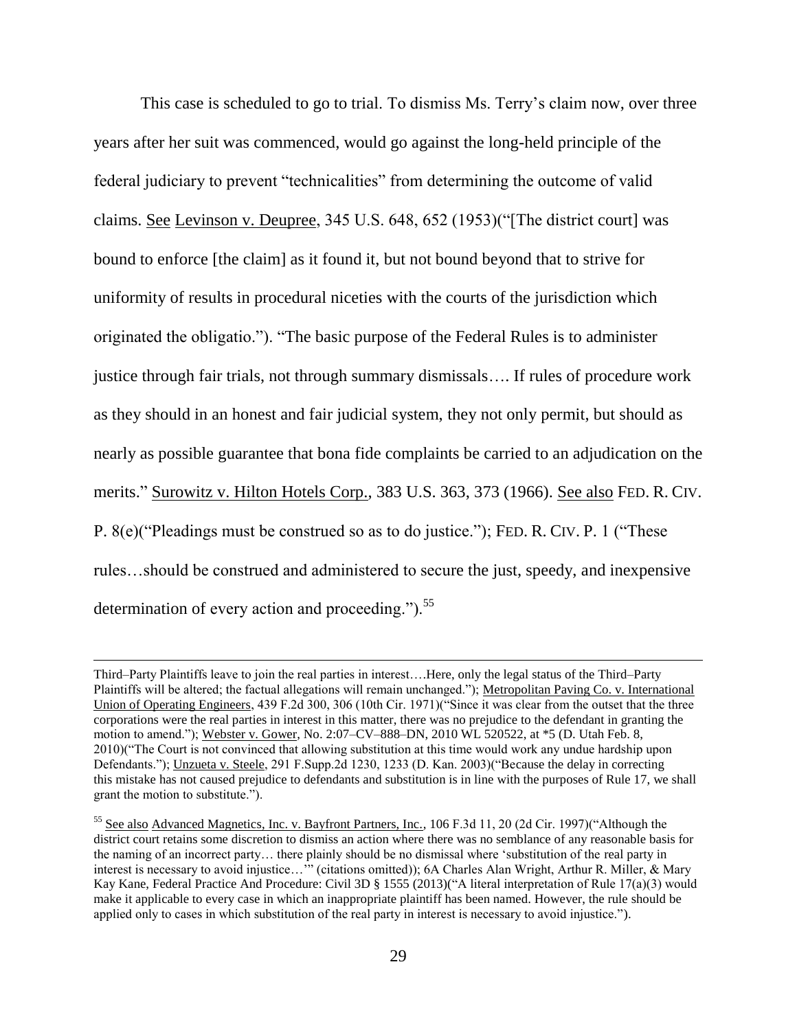This case is scheduled to go to trial. To dismiss Ms. Terry's claim now, over three years after her suit was commenced, would go against the long-held principle of the federal judiciary to prevent "technicalities" from determining the outcome of valid claims. See Levinson v. Deupree, 345 U.S. 648, 652 (1953)("[The district court] was bound to enforce [the claim] as it found it, but not bound beyond that to strive for uniformity of results in procedural niceties with the courts of the jurisdiction which originated the obligatio."). "The basic purpose of the Federal Rules is to administer justice through fair trials, not through summary dismissals…. If rules of procedure work as they should in an honest and fair judicial system, they not only permit, but should as nearly as possible guarantee that bona fide complaints be carried to an adjudication on the merits." Surowitz v. Hilton Hotels Corp., 383 U.S. 363, 373 (1966). See also FED. R. CIV. P. 8(e)("Pleadings must be construed so as to do justice."); FED. R. CIV. P. 1 ("These rules…should be construed and administered to secure the just, speedy, and inexpensive determination of every action and proceeding."). $55$ 

Third–Party Plaintiffs leave to join the real parties in interest….Here, only the legal status of the Third–Party Plaintiffs will be altered; the factual allegations will remain unchanged."); Metropolitan Paving Co. v. International Union of Operating Engineers, 439 F.2d 300, 306 (10th Cir. 1971)("Since it was clear from the outset that the three corporations were the real parties in interest in this matter, there was no prejudice to the defendant in granting the motion to amend."); Webster v. Gower, No. 2:07–CV–888–DN, 2010 WL 520522, at \*5 (D. Utah Feb. 8, 2010)("The Court is not convinced that allowing substitution at this time would work any undue hardship upon Defendants."); Unzueta v. Steele, 291 F.Supp.2d 1230, 1233 (D. Kan. 2003)("Because the delay in correcting this mistake has not caused prejudice to defendants and substitution is in line with the purposes of Rule 17, we shall grant the motion to substitute.").

<sup>&</sup>lt;sup>55</sup> See also Advanced Magnetics, Inc. v. Bayfront Partners, Inc., 106 F.3d 11, 20 (2d Cir. 1997)("Although the district court retains some discretion to dismiss an action where there was no semblance of any reasonable basis for the naming of an incorrect party… there plainly should be no dismissal where 'substitution of the real party in interest is necessary to avoid injustice…'" (citations omitted)); 6A Charles Alan Wright, Arthur R. Miller, & Mary Kay Kane, Federal Practice And Procedure: Civil 3D § 1555 (2013)("A literal interpretation of Rule 17(a)(3) would make it applicable to every case in which an inappropriate plaintiff has been named. However, the rule should be applied only to cases in which substitution of the real party in interest is necessary to avoid injustice.").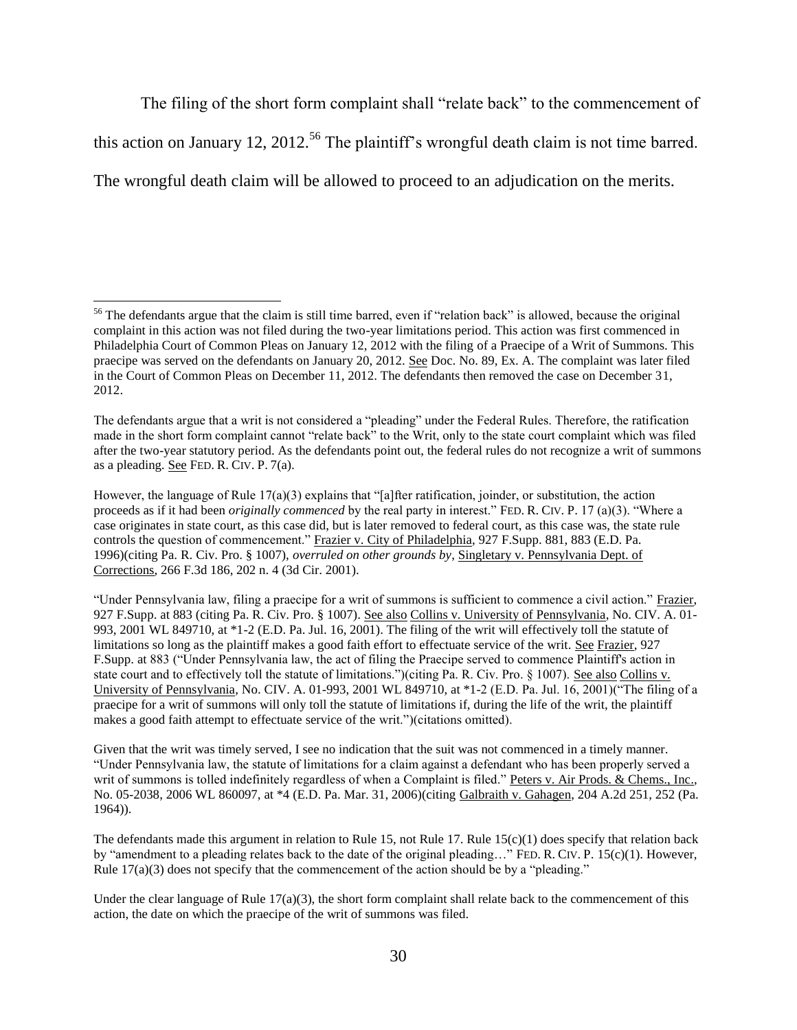The filing of the short form complaint shall "relate back" to the commencement of

this action on January 12, 2012.<sup>56</sup> The plaintiff's wrongful death claim is not time barred.

The wrongful death claim will be allowed to proceed to an adjudication on the merits.

<sup>&</sup>lt;sup>56</sup> The defendants argue that the claim is still time barred, even if "relation back" is allowed, because the original complaint in this action was not filed during the two-year limitations period. This action was first commenced in Philadelphia Court of Common Pleas on January 12, 2012 with the filing of a Praecipe of a Writ of Summons. This praecipe was served on the defendants on January 20, 2012. See Doc. No. 89, Ex. A. The complaint was later filed in the Court of Common Pleas on December 11, 2012. The defendants then removed the case on December 31, 2012.

The defendants argue that a writ is not considered a "pleading" under the Federal Rules. Therefore, the ratification made in the short form complaint cannot "relate back" to the Writ, only to the state court complaint which was filed after the two-year statutory period. As the defendants point out, the federal rules do not recognize a writ of summons as a pleading. See FED. R. CIV. P. 7(a).

However, the language of Rule 17(a)(3) explains that "[a]fter ratification, joinder, or substitution, the action proceeds as if it had been *originally commenced* by the real party in interest." FED. R. CIV. P. 17 (a)(3). "Where a case originates in state court, as this case did, but is later removed to federal court, as this case was, the state rule controls the question of commencement." Frazier v. City of Philadelphia, 927 F.Supp. 881, 883 (E.D. Pa. 1996)(citing Pa. R. Civ. Pro. § 1007), *overruled on other grounds by*, Singletary v. Pennsylvania Dept. of Corrections, 266 F.3d 186, 202 n. 4 (3d Cir. 2001).

<sup>&</sup>quot;Under Pennsylvania law, filing a praecipe for a writ of summons is sufficient to commence a civil action." Frazier, 927 F.Supp. at 883 (citing Pa. R. Civ. Pro. § 1007). See also Collins v. University of Pennsylvania, No. CIV. A. 01- 993, 2001 WL 849710, at \*1-2 (E.D. Pa. Jul. 16, 2001). The filing of the writ will effectively toll the statute of limitations so long as the plaintiff makes a good faith effort to effectuate service of the writ. See Frazier, 927 F.Supp. at 883 ("Under Pennsylvania law, the act of filing the Praecipe served to commence Plaintiff's action in state court and to effectively toll the statute of limitations.")(citing Pa. R. Civ. Pro. § 1007). See also Collins v. University of Pennsylvania, No. CIV. A. 01-993, 2001 WL 849710, at \*1-2 (E.D. Pa. Jul. 16, 2001)("The filing of a praecipe for a writ of summons will only toll the statute of limitations if, during the life of the writ, the plaintiff makes a good faith attempt to effectuate service of the writ.")(citations omitted).

Given that the writ was timely served, I see no indication that the suit was not commenced in a timely manner. "Under Pennsylvania law, the statute of limitations for a claim against a defendant who has been properly served a writ of summons is tolled indefinitely regardless of when a Complaint is filed." Peters v. Air Prods. & Chems., Inc., No. 05-2038, 2006 WL 860097, at \*4 (E.D. Pa. Mar. 31, 2006)(citing Galbraith v. Gahagen, 204 A.2d 251, 252 (Pa. 1964)).

The defendants made this argument in relation to Rule 15, not Rule 17. Rule  $15(c)(1)$  does specify that relation back by "amendment to a pleading relates back to the date of the original pleading…" FED. R. CIV. P. 15(c)(1). However, Rule  $17(a)(3)$  does not specify that the commencement of the action should be by a "pleading."

Under the clear language of Rule  $17(a)(3)$ , the short form complaint shall relate back to the commencement of this action, the date on which the praecipe of the writ of summons was filed.